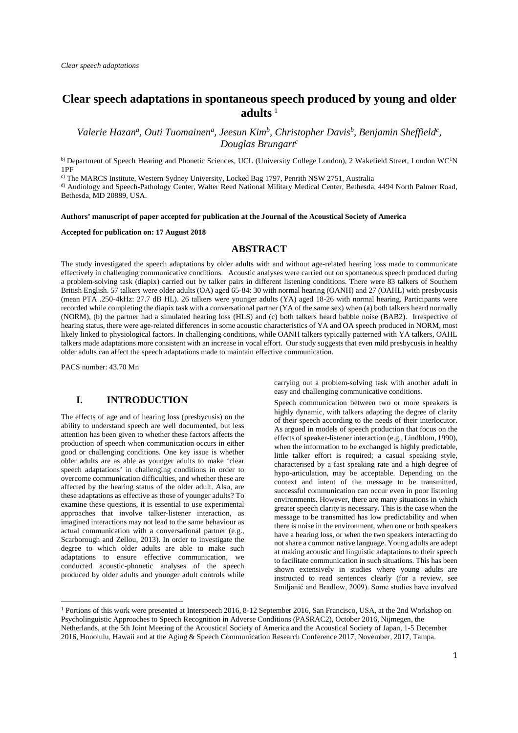# **Clear speech adaptations in spontaneous speech produced by young and older adults** <sup>1</sup>

*Valerie Hazan<sup>a</sup>*, *Outi Tuomainen<sup>a</sup>*, *Jeesun Kim<sup>b</sup>*, *Christopher Davis<sup>b</sup>*, *Benjamin Sheffield<sup>c</sup>*, *Douglas Brungart<sup>c</sup>*

b) Department of Speech Hearing and Phonetic Sciences, UCL (University College London), 2 Wakefield Street, London WC<sup>1</sup>N 1PF

c) The MARCS Institute, Western Sydney University, Locked Bag 1797, Penrith NSW 2751, Australia d) Audiology and Speech-Pathology Center, Walter Reed National Military Medical Center, Bethesda, 4494 North Palmer Road, Bethesda, MD 20889, USA.

#### **Authors' manuscript of paper accepted for publication at the Journal of the Acoustical Society of America**

#### **Accepted for publication on: 17 August 2018**

# **ABSTRACT**

The study investigated the speech adaptations by older adults with and without age-related hearing loss made to communicate effectively in challenging communicative conditions. Acoustic analyses were carried out on spontaneous speech produced during a problem-solving task (diapix) carried out by talker pairs in different listening conditions. There were 83 talkers of Southern British English. 57 talkers were older adults (OA) aged 65-84: 30 with normal hearing (OANH) and 27 (OAHL) with presbycusis (mean PTA .250-4kHz: 27.7 dB HL). 26 talkers were younger adults (YA) aged 18-26 with normal hearing. Participants were recorded while completing the diapix task with a conversational partner (YA of the same sex) when (a) both talkers heard normally (NORM), (b) the partner had a simulated hearing loss (HLS) and (c) both talkers heard babble noise (BAB2). Irrespective of hearing status, there were age-related differences in some acoustic characteristics of YA and OA speech produced in NORM, most likely linked to physiological factors. In challenging conditions, while OANH talkers typically patterned with YA talkers, OAHL talkers made adaptations more consistent with an increase in vocal effort. Our study suggests that even mild presbycusis in healthy older adults can affect the speech adaptations made to maintain effective communication.

PACS number: 43.70 Mn

# **I. INTRODUCTION**

The effects of age and of hearing loss (presbycusis) on the ability to understand speech are well documented, but less attention has been given to whether these factors affects the production of speech when communication occurs in either good or challenging conditions. One key issue is whether older adults are as able as younger adults to make 'clear speech adaptations' in challenging conditions in order to overcome communication difficulties, and whether these are affected by the hearing status of the older adult. Also, are these adaptations as effective as those of younger adults? To examine these questions, it is essential to use experimental approaches that involve talker-listener interaction, as imagined interactions may not lead to the same behaviour as actual communication with a conversational partner (e.g., Scarborough and Zellou, 2013). In order to investigate the degree to which older adults are able to make such adaptations to ensure effective communication, we conducted acoustic-phonetic analyses of the speech produced by older adults and younger adult controls while

carrying out a problem-solving task with another adult in easy and challenging communicative conditions.

Speech communication between two or more speakers is highly dynamic, with talkers adapting the degree of clarity of their speech according to the needs of their interlocutor. As argued in models of speech production that focus on the effects of speaker-listener interaction (e.g., Lindblom, 1990), when the information to be exchanged is highly predictable, little talker effort is required; a casual speaking style, characterised by a fast speaking rate and a high degree of hypo-articulation, may be acceptable. Depending on the context and intent of the message to be transmitted, successful communication can occur even in poor listening environments. However, there are many situations in which greater speech clarity is necessary. This is the case when the message to be transmitted has low predictability and when there is noise in the environment, when one or both speakers have a hearing loss, or when the two speakers interacting do not share a common native language. Young adults are adept at making acoustic and linguistic adaptations to their speech to facilitate communication in such situations. This has been shown extensively in studies where young adults are instructed to read sentences clearly (for a review, see Smiljanić and Bradlow, 2009). Some studies have involved

<sup>1</sup> Portions of this work were presented at Interspeech 2016, 8-12 September 2016, San Francisco, USA, at the 2nd Workshop on Psycholinguistic Approaches to Speech Recognition in Adverse Conditions (PASRAC2), October 2016, Nijmegen, the Netherlands, at the 5th Joint Meeting of the Acoustical Society of America and the Acoustical Society of Japan, 1-5 December 2016, Honolulu, Hawaii and at the Aging & Speech Communication Research Conference 2017, November, 2017, Tampa.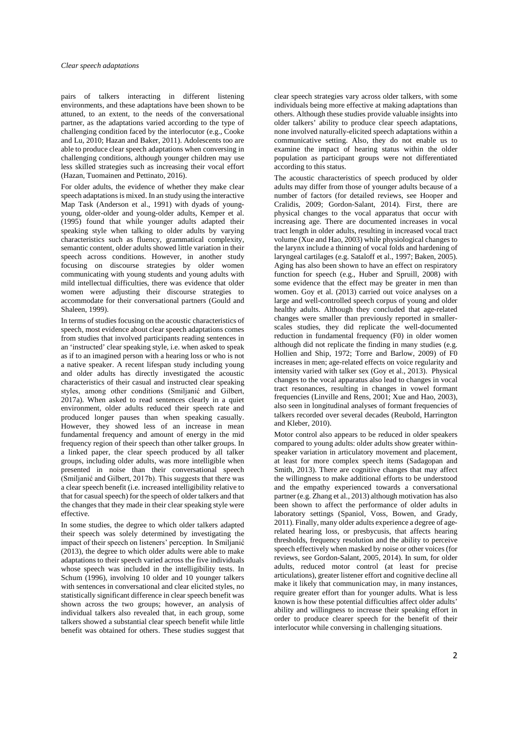pairs of talkers interacting in different listening environments, and these adaptations have been shown to be attuned, to an extent, to the needs of the conversational partner, as the adaptations varied according to the type of challenging condition faced by the interlocutor (e.g., Cooke and Lu, 2010; Hazan and Baker, 2011). Adolescents too are able to produce clear speech adaptations when conversing in challenging conditions, although younger children may use less skilled strategies such as increasing their vocal effort (Hazan, Tuomainen and Pettinato, 2016).

For older adults, the evidence of whether they make clear speech adaptations is mixed. In an study using the interactive Map Task (Anderson et al., 1991) with dyads of youngyoung, older-older and young-older adults, Kemper et al. (1995) found that while younger adults adapted their speaking style when talking to older adults by varying characteristics such as fluency, grammatical complexity, semantic content, older adults showed little variation in their speech across conditions. However, in another study focusing on discourse strategies by older women communicating with young students and young adults with mild intellectual difficulties, there was evidence that older women were adjusting their discourse strategies to accommodate for their conversational partners (Gould and Shaleen, 1999).

In terms of studies focusing on the acoustic characteristics of speech, most evidence about clear speech adaptations comes from studies that involved participants reading sentences in an 'instructed' clear speaking style, i.e. when asked to speak as if to an imagined person with a hearing loss or who is not a native speaker. A recent lifespan study including young and older adults has directly investigated the acoustic characteristics of their casual and instructed clear speaking styles, among other conditions (Smiljanić and Gilbert, 2017a). When asked to read sentences clearly in a quiet environment, older adults reduced their speech rate and produced longer pauses than when speaking casually. However, they showed less of an increase in mean fundamental frequency and amount of energy in the mid frequency region of their speech than other talker groups. In a linked paper, the clear speech produced by all talker groups, including older adults, was more intelligible when presented in noise than their conversational speech (Smiljanić and Gilbert, 2017b). This suggests that there was a clear speech benefit (i.e. increased intelligibility relative to that for casual speech) for the speech of older talkers and that the changes that they made in their clear speaking style were effective.

In some studies, the degree to which older talkers adapted their speech was solely determined by investigating the impact of their speech on listeners' perception. In Smiljanić (2013), the degree to which older adults were able to make adaptations to their speech varied across the five individuals whose speech was included in the intelligibility tests. In Schum (1996), involving 10 older and 10 younger talkers with sentences in conversational and clear elicited styles, no statistically significant difference in clear speech benefit was shown across the two groups; however, an analysis of individual talkers also revealed that, in each group, some talkers showed a substantial clear speech benefit while little benefit was obtained for others. These studies suggest that

clear speech strategies vary across older talkers, with some individuals being more effective at making adaptations than others. Although these studies provide valuable insights into older talkers' ability to produce clear speech adaptations, none involved naturally-elicited speech adaptations within a communicative setting. Also, they do not enable us to examine the impact of hearing status within the older population as participant groups were not differentiated according to this status.

The acoustic characteristics of speech produced by older adults may differ from those of younger adults because of a number of factors (for detailed reviews, see Hooper and Cralidis, 2009; Gordon-Salant, 2014). First, there are physical changes to the vocal apparatus that occur with increasing age. There are documented increases in vocal tract length in older adults, resulting in increased vocal tract volume (Xue and Hao, 2003) while physiological changes to the larynx include a thinning of vocal folds and hardening of laryngeal cartilages (e.g. Sataloff et al., 1997; Baken, 2005). Aging has also been shown to have an effect on respiratory function for speech (e.g., Huber and Spruill, 2008) with some evidence that the effect may be greater in men than women. Goy et al. (2013) carried out voice analyses on a large and well-controlled speech corpus of young and older healthy adults. Although they concluded that age-related changes were smaller than previously reported in smallerscales studies, they did replicate the well-documented reduction in fundamental frequency (F0) in older women although did not replicate the finding in many studies (e.g. Hollien and Ship, 1972; Torre and Barlow, 2009) of F0 increases in men; age-related effects on voice regularity and intensity varied with talker sex (Goy et al., 2013). Physical changes to the vocal apparatus also lead to changes in vocal tract resonances, resulting in changes in vowel formant frequencies (Linville and Rens, 2001; Xue and Hao, 2003), also seen in longitudinal analyses of formant frequencies of talkers recorded over several decades (Reubold, Harrington and Kleber, 2010).

Motor control also appears to be reduced in older speakers compared to young adults: older adults show greater withinspeaker variation in articulatory movement and placement, at least for more complex speech items (Sadagopan and Smith, 2013). There are cognitive changes that may affect the willingness to make additional efforts to be understood and the empathy experienced towards a conversational partner (e.g. Zhang et al., 2013) although motivation has also been shown to affect the performance of older adults in laboratory settings (Spaniol, Voss, Bowen, and Grady, 2011). Finally, many older adults experience a degree of agerelated hearing loss, or presbycusis, that affects hearing thresholds, frequency resolution and the ability to perceive speech effectively when masked by noise or other voices (for reviews, see Gordon-Salant, 2005, 2014). In sum, for older adults, reduced motor control (at least for precise articulations), greater listener effort and cognitive decline all make it likely that communication may, in many instances, require greater effort than for younger adults. What is less known is how these potential difficulties affect older adults' ability and willingness to increase their speaking effort in order to produce clearer speech for the benefit of their interlocutor while conversing in challenging situations.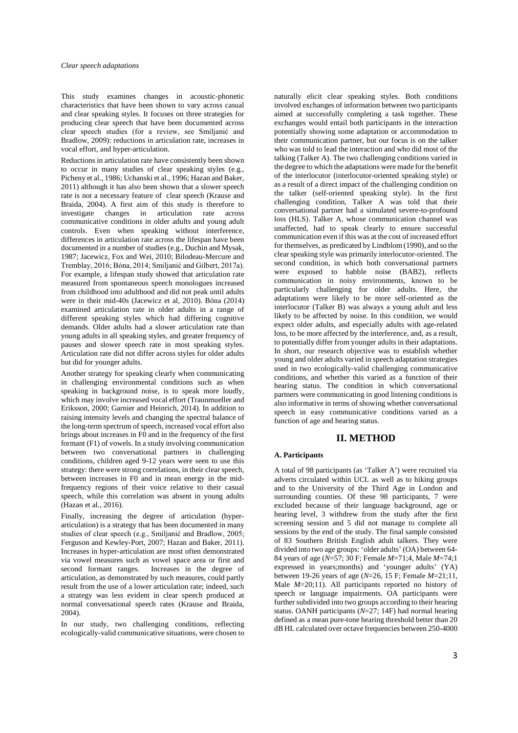This study examines changes in acoustic-phonetic characteristics that have been shown to vary across casual and clear speaking styles. It focuses on three strategies for producing clear speech that have been documented across clear speech studies (for a review, see Smiljanić and Bradlow, 2009): reductions in articulation rate, increases in vocal effort, and hyper-articulation.

Reductions in articulation rate have consistently been shown to occur in many studies of clear speaking styles (e.g., Picheny et al., 1986; Uchanski et al., 1996; Hazan and Baker, 2011) although it has also been shown that a slower speech rate is not a necessary feature of clear speech (Krause and Braida, 2004). A first aim of this study is therefore to investigate changes in articulation rate across communicative conditions in older adults and young adult controls. Even when speaking without interference, differences in articulation rate across the lifespan have been documented in a number of studies (e.g., Duchin and Mysak, 1987; Jacewicz, Fox and Wei, 2010; Bilodeau-Mercure and Tremblay, 2016; Bóna, 2014; Smiljanić and Gilbert, 2017a). For example, a lifespan study showed that articulation rate measured from spontaneous speech monologues increased from childhood into adulthood and did not peak until adults were in their mid-40s (Jacewicz et al, 2010). Bóna (2014) examined articulation rate in older adults in a range of different speaking styles which had differing cognitive demands. Older adults had a slower articulation rate than young adults in all speaking styles, and greater frequency of pauses and slower speech rate in most speaking styles. Articulation rate did not differ across styles for older adults but did for younger adults.

Another strategy for speaking clearly when communicating in challenging environmental conditions such as when speaking in background noise, is to speak more loudly, which may involve increased vocal effort (Traunmueller and Eriksson, 2000; Garnier and Heinrich, 2014). In addition to raising intensity levels and changing the spectral balance of the long-term spectrum of speech, increased vocal effort also brings about increases in F0 and in the frequency of the first formant (F1) of vowels. In a study involving communication between two conversational partners in challenging conditions, children aged 9-12 years were seen to use this strategy: there were strong correlations, in their clear speech, between increases in F0 and in mean energy in the midfrequency regions of their voice relative to their casual speech, while this correlation was absent in young adults (Hazan et al., 2016).

Finally, increasing the degree of articulation (hyperarticulation) is a strategy that has been documented in many studies of clear speech (e.g., Smiljanić and Bradlow, 2005; Ferguson and Kewley-Port, 2007; Hazan and Baker, 2011). Increases in hyper-articulation are most often demonstrated via vowel measures such as vowel space area or first and second formant ranges. Increases in the degree of articulation, as demonstrated by such measures, could partly result from the use of a lower articulation rate; indeed, such a strategy was less evident in clear speech produced at normal conversational speech rates (Krause and Braida, 2004).

In our study, two challenging conditions, reflecting ecologically-valid communicative situations, were chosen to

naturally elicit clear speaking styles. Both conditions involved exchanges of information between two participants aimed at successfully completing a task together. These exchanges would entail both participants in the interaction potentially showing some adaptation or accommodation to their communication partner, but our focus is on the talker who was told to lead the interaction and who did most of the talking (Talker A). The two challenging conditions varied in the degree to which the adaptations were made for the benefit of the interlocutor (interlocutor-oriented speaking style) or as a result of a direct impact of the challenging condition on the talker (self-oriented speaking style). In the first challenging condition, Talker A was told that their conversational partner had a simulated severe-to-profound loss (HLS). Talker A, whose communication channel was unaffected, had to speak clearly to ensure successful communication even if this was at the cost of increased effort for themselves, as predicated by Lindblom (1990), and so the clear speaking style was primarily interlocutor-oriented. The second condition, in which both conversational partners were exposed to babble noise (BAB2), reflects communication in noisy environments, known to be particularly challenging for older adults. Here, the adaptations were likely to be more self-oriented as the interlocutor (Talker B) was always a young adult and less likely to be affected by noise. In this condition, we would expect older adults, and especially adults with age-related loss, to be more affected by the interference, and, as a result, to potentially differ from younger adults in their adaptations. In short, our research objective was to establish whether young and older adults varied in speech adaptation strategies used in two ecologically-valid challenging communicative conditions, and whether this varied as a function of their hearing status. The condition in which conversational partners were communicating in good listening conditions is also informative in terms of showing whether conversational speech in easy communicative conditions varied as a function of age and hearing status.

## **II. METHOD**

#### **A. Participants**

A total of 98 participants (as 'Talker A') were recruited via adverts circulated within UCL as well as to hiking groups and to the University of the Third Age in London and surrounding counties. Of these 98 participants, 7 were excluded because of their language background, age or hearing level, 3 withdrew from the study after the first screening session and 5 did not manage to complete all sessions by the end of the study. The final sample consisted of 83 Southern British English adult talkers. They were divided into two age groups: 'older adults' (OA) between 64- 84 years of age (*N*=57; 30 F; Female *M*=71;4, Male *M*=74;1 expressed in years;months) and 'younger adults' (YA) between 19-26 years of age (*N*=26, 15 F; Female *M*=21;11, Male *M*=20:11). All participants reported no history of speech or language impairments. OA participants were further subdivided into two groups according to their hearing status. OANH participants (*N*=27; 14F) had normal hearing defined as a mean pure-tone hearing threshold better than 20 dB HL calculated over octave frequencies between 250-4000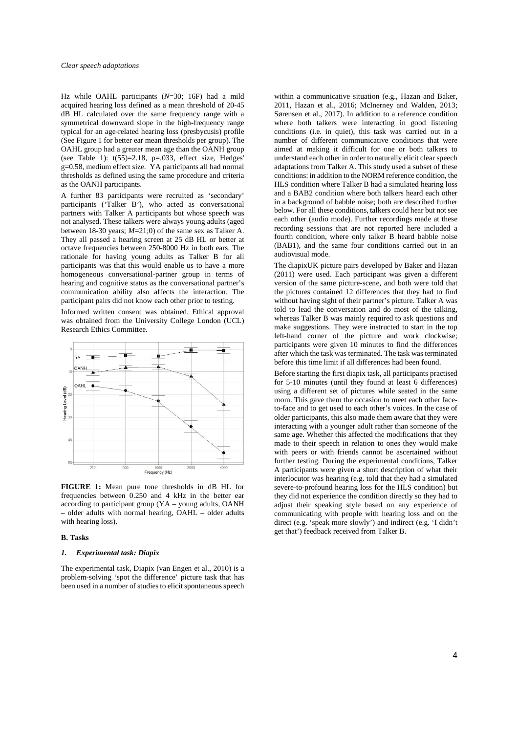Hz while OAHL participants (*N*=30; 16F) had a mild acquired hearing loss defined as a mean threshold of 20-45 dB HL calculated over the same frequency range with a symmetrical downward slope in the high-frequency range typical for an age-related hearing loss (presbycusis) profile (See Figure 1 for better ear mean thresholds per group). The OAHL group had a greater mean age than the OANH group (see Table 1):  $t(55)=2.18$ ,  $p=.033$ , effect size, Hedges' g=0.58, medium effect size. YA participants all had normal thresholds as defined using the same procedure and criteria as the OANH participants.

A further 83 participants were recruited as 'secondary' participants ('Talker B'), who acted as conversational partners with Talker A participants but whose speech was not analysed. These talkers were always young adults (aged between 18-30 years; *M*=21;0) of the same sex as Talker A. They all passed a hearing screen at 25 dB HL or better at octave frequencies between 250-8000 Hz in both ears. The rationale for having young adults as Talker B for all participants was that this would enable us to have a more homogeneous conversational-partner group in terms of hearing and cognitive status as the conversational partner's communication ability also affects the interaction. The participant pairs did not know each other prior to testing.

Informed written consent was obtained. Ethical approval was obtained from the University College London (UCL) Research Ethics Committee.



**FIGURE 1:** Mean pure tone thresholds in dB HL for frequencies between 0.250 and 4 kHz in the better ear according to participant group (YA – young adults, OANH – older adults with normal hearing, OAHL – older adults with hearing loss).

# **B. Tasks**

### *1. Experimental task: Diapix*

The experimental task, Diapix (van Engen et al., 2010) is a problem-solving 'spot the difference' picture task that has been used in a number of studies to elicit spontaneous speech

within a communicative situation (e.g., Hazan and Baker, 2011, Hazan et al., 2016; McInerney and Walden, 2013; Sørensen et al., 2017). In addition to a reference condition where both talkers were interacting in good listening conditions (i.e. in quiet), this task was carried out in a number of different communicative conditions that were aimed at making it difficult for one or both talkers to understand each other in order to naturally elicit clear speech adaptations from Talker A. This study used a subset of these conditions: in addition to the NORM reference condition, the HLS condition where Talker B had a simulated hearing loss and a BAB2 condition where both talkers heard each other in a background of babble noise; both are described further below. For all these conditions, talkers could hear but not see each other (audio mode). Further recordings made at these recording sessions that are not reported here included a fourth condition, where only talker B heard babble noise (BAB1), and the same four conditions carried out in an audiovisual mode.

The diapixUK picture pairs developed by Baker and Hazan (2011) were used. Each participant was given a different version of the same picture-scene, and both were told that the pictures contained 12 differences that they had to find without having sight of their partner's picture. Talker A was told to lead the conversation and do most of the talking, whereas Talker B was mainly required to ask questions and make suggestions. They were instructed to start in the top left-hand corner of the picture and work clockwise; participants were given 10 minutes to find the differences after which the task was terminated. The task was terminated before this time limit if all differences had been found.

Before starting the first diapix task, all participants practised for 5-10 minutes (until they found at least 6 differences) using a different set of pictures while seated in the same room. This gave them the occasion to meet each other faceto-face and to get used to each other's voices. In the case of older participants, this also made them aware that they were interacting with a younger adult rather than someone of the same age. Whether this affected the modifications that they made to their speech in relation to ones they would make with peers or with friends cannot be ascertained without further testing. During the experimental conditions, Talker A participants were given a short description of what their interlocutor was hearing (e.g. told that they had a simulated severe-to-profound hearing loss for the HLS condition) but they did not experience the condition directly so they had to adjust their speaking style based on any experience of communicating with people with hearing loss and on the direct (e.g. 'speak more slowly') and indirect (e.g. 'I didn't get that') feedback received from Talker B.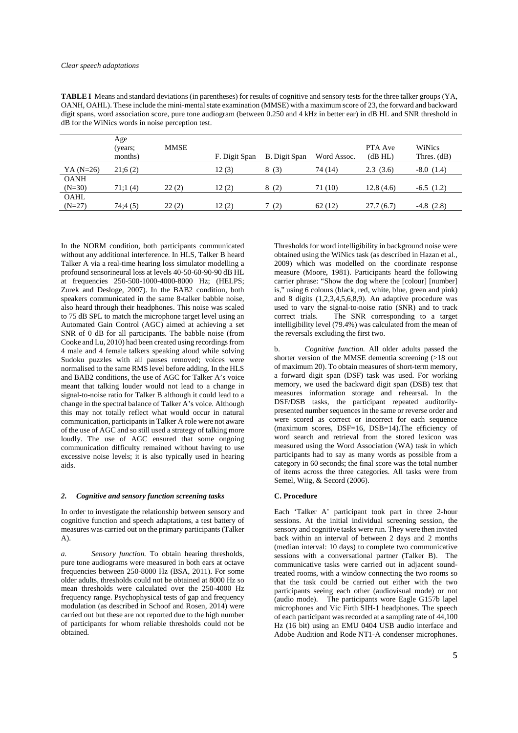**TABLE I** Means and standard deviations (in parentheses) for results of cognitive and sensory tests for the three talker groups (YA, OANH, OAHL). These include the mini-mental state examination (MMSE) with a maximum score of 23, the forward and backward digit spans, word association score, pure tone audiogram (between 0.250 and 4 kHz in better ear) in dB HL and SNR threshold in dB for the WiNics words in noise perception test.

|             | Age<br>(years;<br>months) | <b>MMSE</b> | F. Digit Span | <b>B.</b> Digit Span | Word Assoc. | PTA Ave<br>(dB HL) | WiNics<br>Thres. $(dB)$ |
|-------------|---------------------------|-------------|---------------|----------------------|-------------|--------------------|-------------------------|
| YA $(N=26)$ | 21:6(2)                   |             | 12(3)         | 8(3)                 | 74 (14)     | 2.3(3.6)           | $-8.0(1.4)$             |
| <b>OANH</b> |                           |             |               |                      |             |                    |                         |
| $(N=30)$    | 71;1(4)                   | 22(2)       | 12(2)         | 8(2)                 | 71 (10)     | 12.8(4.6)          | $-6.5(1.2)$             |
| <b>OAHL</b> |                           |             |               |                      |             |                    |                         |
| $(N=27)$    | 74;4(5)                   | 22(2)       | 12(2)         | (2)                  | 62(12)      | 27.7(6.7)          | $-4.8(2.8)$             |
|             |                           |             |               |                      |             |                    |                         |

In the NORM condition, both participants communicated without any additional interference. In HLS, Talker B heard Talker A via a real-time hearing loss simulator modelling a profound sensorineural loss at levels 40-50-60-90-90 dB HL at frequencies 250-500-1000-4000-8000 Hz; (HELPS; Zurek and Desloge, 2007). In the BAB2 condition, both speakers communicated in the same 8-talker babble noise, also heard through their headphones. This noise was scaled to 75 dB SPL to match the microphone target level using an Automated Gain Control (AGC) aimed at achieving a set SNR of 0 dB for all participants. The babble noise (from Cooke and Lu, 2010) had been created using recordings from 4 male and 4 female talkers speaking aloud while solving Sudoku puzzles with all pauses removed; voices were normalised to the same RMS level before adding. In the HLS and BAB2 conditions, the use of AGC for Talker A's voice meant that talking louder would not lead to a change in signal-to-noise ratio for Talker B although it could lead to a change in the spectral balance of Talker A's voice. Although this may not totally reflect what would occur in natural communication, participants in Talker A role were not aware of the use of AGC and so still used a strategy of talking more loudly. The use of AGC ensured that some ongoing communication difficulty remained without having to use excessive noise levels; it is also typically used in hearing aids.

#### *2. Cognitive and sensory function screening tasks*

In order to investigate the relationship between sensory and cognitive function and speech adaptations, a test battery of measures was carried out on the primary participants (Talker A).

*a. Sensory function.* To obtain hearing thresholds, pure tone audiograms were measured in both ears at octave frequencies between 250-8000 Hz (BSA, 2011). For some older adults, thresholds could not be obtained at 8000 Hz so mean thresholds were calculated over the 250-4000 Hz frequency range. Psychophysical tests of gap and frequency modulation (as described in Schoof and Rosen, 2014) were carried out but these are not reported due to the high number of participants for whom reliable thresholds could not be obtained.

Thresholds for word intelligibility in background noise were obtained using the WiNics task (as described in Hazan et al., 2009) which was modelled on the coordinate response measure (Moore, 1981). Participants heard the following carrier phrase: "Show the dog where the [colour] [number] is," using 6 colours (black, red, white, blue, green and pink) and 8 digits (1,2,3,4,5,6,8,9). An adaptive procedure was used to vary the signal-to-noise ratio (SNR) and to track correct trials. The SNR corresponding to a target intelligibility level (79.4%) was calculated from the mean of the reversals excluding the first two.

b. *Cognitive function.* All older adults passed the shorter version of the MMSE dementia screening (>18 out of maximum 20). To obtain measures of short-term memory, a forward digit span (DSF) task was used. For working memory, we used the backward digit span (DSB) test that measures information storage and rehearsal. In the DSF/DSB tasks, the participant repeated auditorilypresented number sequences in the same or reverse order and were scored as correct or incorrect for each sequence (maximum scores, DSF=16, DSB=14).The efficiency of word search and retrieval from the stored lexicon was measured using the Word Association (WA) task in which participants had to say as many words as possible from a category in 60 seconds; the final score was the total number of items across the three categories. All tasks were from Semel, Wiig, & Secord (2006).

## **C. Procedure**

Each 'Talker A' participant took part in three 2-hour sessions. At the initial individual screening session, the sensory and cognitive tasks were run. They were then invited back within an interval of between 2 days and 2 months (median interval: 10 days) to complete two communicative sessions with a conversational partner (Talker B). The communicative tasks were carried out in adjacent soundtreated rooms, with a window connecting the two rooms so that the task could be carried out either with the two participants seeing each other (audiovisual mode) or not (audio mode). The participants wore Eagle G157b lapel microphones and Vic Firth SIH-1 headphones. The speech of each participant was recorded at a sampling rate of 44,100 Hz (16 bit) using an EMU 0404 USB audio interface and Adobe Audition and Rode NT1-A condenser microphones.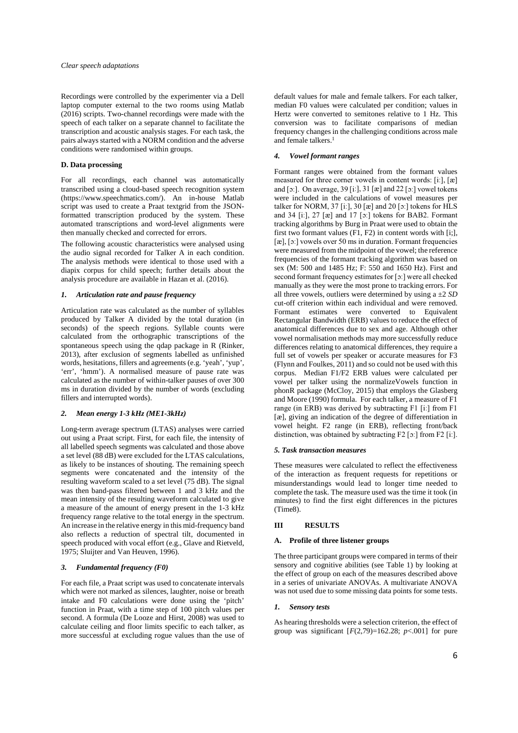Recordings were controlled by the experimenter via a Dell laptop computer external to the two rooms using Matlab (2016) scripts. Two-channel recordings were made with the speech of each talker on a separate channel to facilitate the transcription and acoustic analysis stages. For each task, the pairs always started with a NORM condition and the adverse conditions were randomised within groups.

#### **D. Data processing**

For all recordings, each channel was automatically transcribed using a cloud-based speech recognition system (https://www.speechmatics.com/). An in-house Matlab script was used to create a Praat textgrid from the JSONformatted transcription produced by the system. These automated transcriptions and word-level alignments were then manually checked and corrected for errors.

The following acoustic characteristics were analysed using the audio signal recorded for Talker A in each condition. The analysis methods were identical to those used with a diapix corpus for child speech; further details about the analysis procedure are available in Hazan et al. (2016).

#### *1. Articulation rate and pause frequency*

Articulation rate was calculated as the number of syllables produced by Talker A divided by the total duration (in seconds) of the speech regions. Syllable counts were calculated from the orthographic transcriptions of the spontaneous speech using the qdap package in R (Rinker, 2013), after exclusion of segments labelled as unfinished words, hesitations, fillers and agreements (e.g. 'yeah', 'yup', 'err', 'hmm'). A normalised measure of pause rate was calculated as the number of within-talker pauses of over 300 ms in duration divided by the number of words (excluding fillers and interrupted words).

## *2. Mean energy 1-3 kHz (ME1-3kHz)*

Long-term average spectrum (LTAS) analyses were carried out using a Praat script. First, for each file, the intensity of all labelled speech segments was calculated and those above a set level (88 dB) were excluded for the LTAS calculations, as likely to be instances of shouting. The remaining speech segments were concatenated and the intensity of the resulting waveform scaled to a set level (75 dB). The signal was then band-pass filtered between 1 and 3 kHz and the mean intensity of the resulting waveform calculated to give a measure of the amount of energy present in the 1-3 kHz frequency range relative to the total energy in the spectrum. An increase in the relative energy in this mid-frequency band also reflects a reduction of spectral tilt, documented in speech produced with vocal effort (e.g., Glave and Rietveld, 1975; Sluijter and Van Heuven, 1996).

### *3. Fundamental frequency (F0)*

For each file, a Praat script was used to concatenate intervals which were not marked as silences, laughter, noise or breath intake and F0 calculations were done using the 'pitch' function in Praat, with a time step of 100 pitch values per second. A formula (De Looze and Hirst, 2008) was used to calculate ceiling and floor limits specific to each talker, as more successful at excluding rogue values than the use of default values for male and female talkers. For each talker, median F0 values were calculated per condition; values in Hertz were converted to semitones relative to 1 Hz. This conversion was to facilitate comparisons of median frequency changes in the challenging conditions across male and female talkers.<sup>1</sup>

# *4. Vowel formant ranges*

Formant ranges were obtained from the formant values measured for three corner vowels in content words: [iː], [æ] and [ɔː]. On average, 39 [iː], 31 [æ] and 22 [ɔː] vowel tokens were included in the calculations of vowel measures per talker for NORM, 37 [iː], 30  $[\infty]$  and 20  $[\infty]$  tokens for HLS and 34 [iː], 27 [æ] and 17 [ɔː] tokens for BAB2. Formant tracking algorithms by Burg in Praat were used to obtain the first two formant values (F1, F2) in content words with [i;], [æ], [ɔː] vowels over 50 ms in duration. Formant frequencies were measured from the midpoint of the vowel; the reference frequencies of the formant tracking algorithm was based on sex (M: 500 and 1485 Hz; F: 550 and 1650 Hz). First and second formant frequency estimates for [ɔː] were all checked manually as they were the most prone to tracking errors. For all three vowels, outliers were determined by using a ±2 *SD* cut-off criterion within each individual and were removed. Formant estimates were converted to Equivalent Rectangular Bandwidth (ERB) values to reduce the effect of anatomical differences due to sex and age. Although other vowel normalisation methods may more successfully reduce differences relating to anatomical differences, they require a full set of vowels per speaker or accurate measures for F3 (Flynn and Foulkes, 2011) and so could not be used with this corpus. Median F1/F2 ERB values were calculated per vowel per talker using the normalizeVowels function in phonR package (McCloy, 2015) that employs the Glasberg and Moore (1990) formula. For each talker, a measure of F1 range (in ERB) was derived by subtracting F1 [iː] from F1 [æ], giving an indication of the degree of differentiation in vowel height. F2 range (in ERB), reflecting front/back distinction, was obtained by subtracting F2 [ɔː] from F2 [iː].

#### *5. Task transaction measures*

These measures were calculated to reflect the effectiveness of the interaction as frequent requests for repetitions or misunderstandings would lead to longer time needed to complete the task. The measure used was the time it took (in minutes) to find the first eight differences in the pictures (Time8).

#### **III RESULTS**

#### **A. Profile of three listener groups**

The three participant groups were compared in terms of their sensory and cognitive abilities (see Table 1) by looking at the effect of group on each of the measures described above in a series of univariate ANOVAs. A multivariate ANOVA was not used due to some missing data points for some tests.

#### *1. Sensory tests*

As hearing thresholds were a selection criterion, the effect of group was significant  $[F(2,79)=162.28; p<.001]$  for pure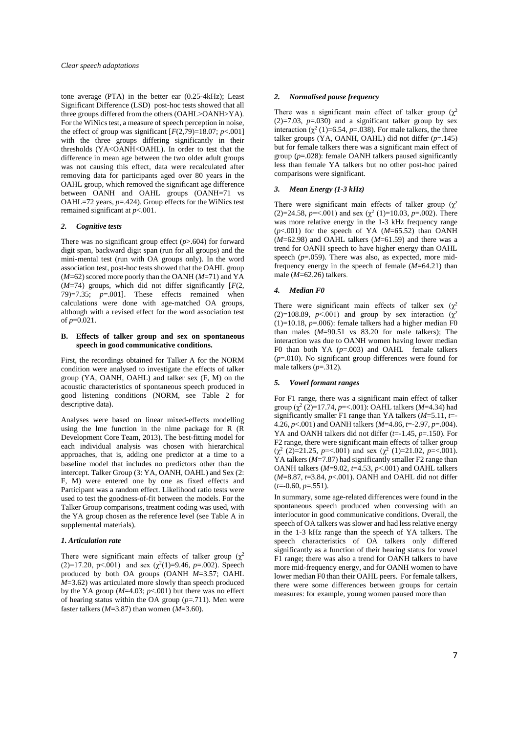tone average (PTA) in the better ear (0.25-4kHz); Least Significant Difference (LSD) post-hoc tests showed that all three groups differed from the others (OAHL>OANH>YA). For the WiNics test, a measure of speech perception in noise, the effect of group was significant  $[F(2,79)=18.07; p<.001]$ with the three groups differing significantly in their thresholds (YA<OANH<OAHL). In order to test that the difference in mean age between the two older adult groups was not causing this effect, data were recalculated after removing data for participants aged over 80 years in the OAHL group, which removed the significant age difference between OANH and OAHL groups (OANH=71 vs OAHL=72 years, *p*=.424). Group effects for the WiNics test remained significant at *p*<.001.

#### *2. Cognitive tests*

There was no significant group effect (*p*>.604) for forward digit span, backward digit span (run for all groups) and the mini-mental test (run with OA groups only). In the word association test, post-hoc tests showed that the OAHL group (*M*=62) scored more poorly than the OANH (*M*=71) and YA  $(M=74)$  groups, which did not differ significantly  $[F(2, 1)]$ 79)=7.35; *p*=.001]. These effects remained when calculations were done with age-matched OA groups, although with a revised effect for the word association test of  $p=0.021$ .

#### **B. Effects of talker group and sex on spontaneous speech in good communicative conditions.**

First, the recordings obtained for Talker A for the NORM condition were analysed to investigate the effects of talker group (YA, OANH, OAHL) and talker sex (F, M) on the acoustic characteristics of spontaneous speech produced in good listening conditions (NORM, see Table 2 for descriptive data).

Analyses were based on linear mixed-effects modelling using the lme function in the nlme package for R (R Development Core Team, 2013). The best-fitting model for each individual analysis was chosen with hierarchical approaches, that is, adding one predictor at a time to a baseline model that includes no predictors other than the intercept. Talker Group (3: YA, OANH, OAHL) and Sex (2: F, M) were entered one by one as fixed effects and Participant was a random effect. Likelihood ratio tests were used to test the goodness-of-fit between the models. For the Talker Group comparisons, treatment coding was used, with the YA group chosen as the reference level (see Table A in supplemental materials).

## *1. Articulation rate*

There were significant main effects of talker group  $(\chi^2)$ (2)=17.20, p<.001) and sex  $(\chi^2(1)=9.46, p=.002)$ . Speech produced by both OA groups (OANH *M*=3.57; OAHL  $M=3.62$ ) was articulated more slowly than speech produced by the YA group  $(M=4.03; p<.001)$  but there was no effect of hearing status within the OA group (*p*=.711). Men were faster talkers (*M*=3.87) than women (*M*=3.60).

## *2. Normalised pause frequency*

There was a significant main effect of talker group  $(\chi^2)$  $(2)=7.03$ ,  $p=.030$ ) and a significant talker group by sex interaction  $(\chi^2(1)=6.54, p=.038)$ . For male talkers, the three talker groups (YA, OANH, OAHL) did not differ  $(p=145)$ but for female talkers there was a significant main effect of group (*p*=.028): female OANH talkers paused significantly less than female YA talkers but no other post-hoc paired comparisons were significant.

## *3. Mean Energy (1-3 kHz)*

There were significant main effects of talker group  $(\chi^2)$ (2)=24.58,  $p$ =<.001) and sex ( $\chi^2$  (1)=10.03,  $p$ =.002). There was more relative energy in the 1-3 kHz frequency range (*p*<.001) for the speech of YA (*M*=65.52) than OANH  $(M=62.98)$  and OAHL talkers  $(M=61.59)$  and there was a trend for OANH speech to have higher energy than OAHL speech  $(p=0.059)$ . There was also, as expected, more midfrequency energy in the speech of female (*M*=64.21) than male (*M*=62.26) talkers.

## *4. Median F0*

There were significant main effects of talker sex  $(\chi^2)$  $(2)=108.89$ ,  $p<0.01$ ) and group by sex interaction  $(\chi^2)$  $(1)=10.18$ ,  $p=.006$ : female talkers had a higher median F0 than males  $(M=90.51$  vs  $83.20$  for male talkers); The interaction was due to OANH women having lower median F0 than both YA  $(p=.003)$  and OAHL female talkers (*p*=.010). No significant group differences were found for male talkers  $(p=.312)$ .

### *5. Vowel formant ranges*

For F1 range, there was a significant main effect of talker group (χ 2 (2)=17.74, *p*=<.001): OAHL talkers (*M*=4.34) had significantly smaller F1 range than YA talkers (*M*=5.11, *t*=- 4.26, *p*<.001) and OANH talkers (*M*=4.86, *t*=-2.97, *p*=.004). YA and OANH talkers did not differ (*t*=-1.45, *p*=.150). For F2 range, there were significant main effects of talker group  $(\chi^2 \ (2)=21.25, \ p=<.001)$  and sex  $(\chi^2 \ (1)=21.02, \ p=<.001)$ . YA talkers ( $M=7.87$ ) had significantly smaller F2 range than OANH talkers (*M*=9.02, *t*=4.53, *p*<.001) and OAHL talkers (*M*=8.87, *t*=3.84, *p*<.001). OANH and OAHL did not differ (*t*=-0.60, *p*=.551).

In summary, some age-related differences were found in the spontaneous speech produced when conversing with an interlocutor in good communicative conditions. Overall, the speech of OA talkers was slower and had less relative energy in the 1-3 kHz range than the speech of YA talkers. The speech characteristics of OA talkers only differed significantly as a function of their hearing status for vowel F1 range; there was also a trend for OANH talkers to have more mid-frequency energy, and for OANH women to have lower median F0 than their OAHL peers. For female talkers, there were some differences between groups for certain measures: for example, young women paused more than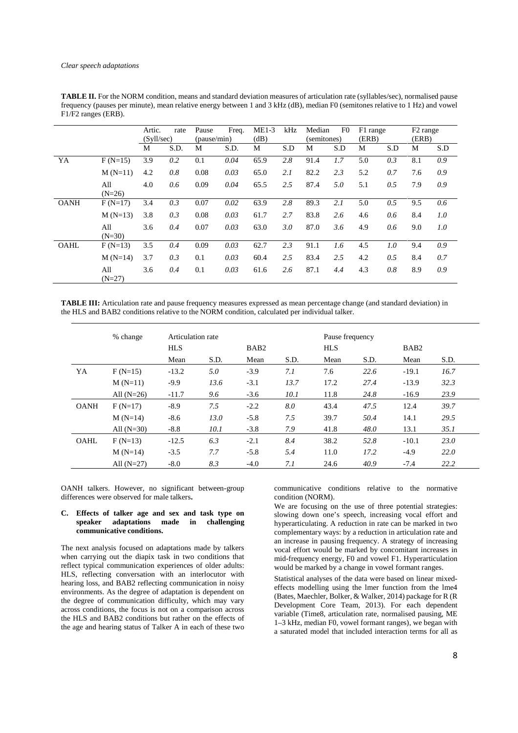|             |                 | Artic.     | rate | Pause       | Freq. | $ME1-3$ | kHz | Median      | F <sub>0</sub> | F1 range |     | F <sub>2</sub> range |     |
|-------------|-----------------|------------|------|-------------|-------|---------|-----|-------------|----------------|----------|-----|----------------------|-----|
|             |                 | (Svll/sec) |      | (pause/min) |       | (dB)    |     | (semitones) |                | (ERB)    |     | (ERB)                |     |
|             |                 | M          | S.D. | M           | S.D.  | М       | S.D | М           | S.D            | M        | S.D | М                    | S.D |
| YA          | $F(N=15)$       | 3.9        | 0.2  | 0.1         | 0.04  | 65.9    | 2.8 | 91.4        | 1.7            | 5.0      | 0.3 | 8.1                  | 0.9 |
|             | $M(N=11)$       | 4.2        | 0.8  | 0.08        | 0.03  | 65.0    | 2.1 | 82.2        | 2.3            | 5.2      | 0.7 | 7.6                  | 0.9 |
|             | All<br>$(N=26)$ | 4.0        | 0.6  | 0.09        | 0.04  | 65.5    | 2.5 | 87.4        | 5.0            | 5.1      | 0.5 | 7.9                  | 0.9 |
| <b>OANH</b> | $F(N=17)$       | 3.4        | 0.3  | 0.07        | 0.02  | 63.9    | 2.8 | 89.3        | 2.1            | 5.0      | 0.5 | 9.5                  | 0.6 |
|             | $M(N=13)$       | 3.8        | 0.3  | 0.08        | 0.03  | 61.7    | 2.7 | 83.8        | 2.6            | 4.6      | 0.6 | 8.4                  | 1.0 |
|             | All<br>$(N=30)$ | 3.6        | 0.4  | 0.07        | 0.03  | 63.0    | 3.0 | 87.0        | 3.6            | 4.9      | 0.6 | 9.0                  | 1.0 |
| <b>OAHL</b> | $F(N=13)$       | 3.5        | 0.4  | 0.09        | 0.03  | 62.7    | 2.3 | 91.1        | 1.6            | 4.5      | 1.0 | 9.4                  | 0.9 |
|             | $M(N=14)$       | 3.7        | 0.3  | 0.1         | 0.03  | 60.4    | 2.5 | 83.4        | 2.5            | 4.2      | 0.5 | 8.4                  | 0.7 |
|             | All<br>$(N=27)$ | 3.6        | 0.4  | 0.1         | 0.03  | 61.6    | 2.6 | 87.1        | 4.4            | 4.3      | 0.8 | 8.9                  | 0.9 |

**TABLE II.** For the NORM condition, means and standard deviation measures of articulation rate (syllables/sec), normalised pause frequency (pauses per minute), mean relative energy between 1 and 3 kHz (dB), median F0 (semitones relative to 1 Hz) and vowel F1/F2 ranges (ERB).

**TABLE III:** Articulation rate and pause frequency measures expressed as mean percentage change (and standard deviation) in the HLS and BAB2 conditions relative to the NORM condition, calculated per individual talker.

|             | % change     | Articulation rate |      |                  |      | Pause frequency |      |                  |      |
|-------------|--------------|-------------------|------|------------------|------|-----------------|------|------------------|------|
|             |              | <b>HLS</b>        |      | BAB <sub>2</sub> |      | <b>HLS</b>      |      | BAB <sub>2</sub> |      |
|             |              | Mean              | S.D. | Mean             | S.D. | Mean            | S.D. | Mean             | S.D. |
| YA          | $F(N=15)$    | $-13.2$           | 5.0  | $-3.9$           | 7.1  | 7.6             | 22.6 | $-19.1$          | 16.7 |
|             | $M(N=11)$    | $-9.9$            | 13.6 | $-3.1$           | 13.7 | 17.2            | 27.4 | $-13.9$          | 32.3 |
|             | All $(N=26)$ | $-11.7$           | 9.6  | $-3.6$           | 10.1 | 11.8            | 24.8 | $-16.9$          | 23.9 |
| <b>OANH</b> | $F(N=17)$    | $-8.9$            | 7.5  | $-2.2$           | 8.0  | 43.4            | 47.5 | 12.4             | 39.7 |
|             | $M(N=14)$    | $-8.6$            | 13.0 | $-5.8$           | 7.5  | 39.7            | 50.4 | 14.1             | 29.5 |
|             | All $(N=30)$ | $-8.8$            | 10.1 | $-3.8$           | 7.9  | 41.8            | 48.0 | 13.1             | 35.1 |
| <b>OAHL</b> | $F(N=13)$    | $-12.5$           | 6.3  | $-2.1$           | 8.4  | 38.2            | 52.8 | $-10.1$          | 23.0 |
|             | $M(N=14)$    | $-3.5$            | 7.7  | $-5.8$           | 5.4  | 11.0            | 17.2 | $-4.9$           | 22.0 |
|             | All $(N=27)$ | $-8.0$            | 8.3  | $-4.0$           | 7.1  | 24.6            | 40.9 | $-7.4$           | 22.2 |

OANH talkers. However, no significant between-group differences were observed for male talkers**.**

### **C. Effects of talker age and sex and task type on speaker adaptations made in challenging communicative conditions.**

The next analysis focused on adaptations made by talkers when carrying out the diapix task in two conditions that reflect typical communication experiences of older adults: HLS, reflecting conversation with an interlocutor with hearing loss, and BAB2 reflecting communication in noisy environments. As the degree of adaptation is dependent on the degree of communication difficulty, which may vary across conditions, the focus is not on a comparison across the HLS and BAB2 conditions but rather on the effects of the age and hearing status of Talker A in each of these two

communicative conditions relative to the normative condition (NORM).

We are focusing on the use of three potential strategies: slowing down one's speech, increasing vocal effort and hyperarticulating. A reduction in rate can be marked in two complementary ways: by a reduction in articulation rate and an increase in pausing frequency. A strategy of increasing vocal effort would be marked by concomitant increases in mid-frequency energy, F0 and vowel F1. Hyperarticulation would be marked by a change in vowel formant ranges.

Statistical analyses of the data were based on linear mixedeffects modelling using the lmer function from the lme4 (Bates, Maechler, Bolker, & Walker, 2014) package for R (R Development Core Team, 2013). For each dependent variable (Time8, articulation rate, normalised pausing, ME 1–3 kHz, median F0, vowel formant ranges), we began with a saturated model that included interaction terms for all as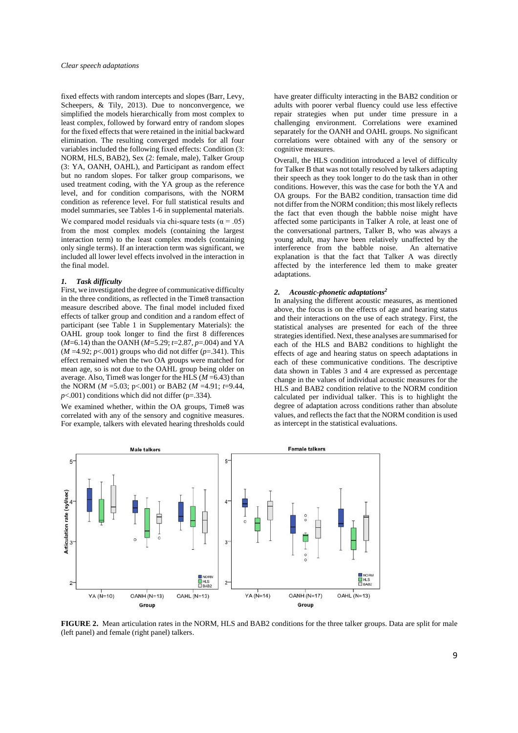fixed effects with random intercepts and slopes (Barr, Levy, Scheepers, & Tily, 2013). Due to nonconvergence, we simplified the models hierarchically from most complex to least complex, followed by forward entry of random slopes for the fixed effects that were retained in the initial backward elimination. The resulting converged models for all four variables included the following fixed effects: Condition (3: NORM, HLS, BAB2), Sex (2: female, male), Talker Group (3: YA, OANH, OAHL), and Participant as random effect but no random slopes. For talker group comparisons, we used treatment coding, with the YA group as the reference level, and for condition comparisons, with the NORM condition as reference level. For full statistical results and model summaries, see Tables 1-6 in supplemental materials.

We compared model residuals via chi-square tests ( $\alpha = .05$ ) from the most complex models (containing the largest interaction term) to the least complex models (containing only single terms). If an interaction term was significant, we included all lower level effects involved in the interaction in the final model.

## *1. Task difficulty*

First, we investigated the degree of communicative difficulty in the three conditions, as reflected in the Time8 transaction measure described above. The final model included fixed effects of talker group and condition and a random effect of participant (see Table 1 in Supplementary Materials): the OAHL group took longer to find the first 8 differences (*M*=6.14) than the OANH (*M*=5.29; *t*=2.87, *p*=.004) and YA  $(M = 4.92; p < .001)$  groups who did not differ  $(p = .341)$ . This effect remained when the two OA groups were matched for mean age, so is not due to the OAHL group being older on average. Also, Time8 was longer for the HLS (*M* =6.43) than the NORM ( $M = 5.03$ ; p<.001) or BAB2 ( $M = 4.91$ ;  $t = 9.44$ ,  $p$ <.001) conditions which did not differ ( $p$ =.334).

We examined whether, within the OA groups, Time8 was correlated with any of the sensory and cognitive measures. For example, talkers with elevated hearing thresholds could have greater difficulty interacting in the BAB2 condition or adults with poorer verbal fluency could use less effective repair strategies when put under time pressure in a challenging environment. Correlations were examined separately for the OANH and OAHL groups. No significant correlations were obtained with any of the sensory or cognitive measures.

Overall, the HLS condition introduced a level of difficulty for Talker B that was not totally resolved by talkers adapting their speech as they took longer to do the task than in other conditions. However, this was the case for both the YA and OA groups. For the BAB2 condition, transaction time did not differ from the NORM condition; this most likely reflects the fact that even though the babble noise might have affected some participants in Talker A role, at least one of the conversational partners, Talker B, who was always a young adult, may have been relatively unaffected by the interference from the babble noise. An alternative explanation is that the fact that Talker A was directly affected by the interference led them to make greater adaptations.

#### *2. Acoustic-phonetic adaptations<sup>2</sup>*

In analysing the different acoustic measures, as mentioned above, the focus is on the effects of age and hearing status and their interactions on the use of each strategy. First, the statistical analyses are presented for each of the three strategies identified. Next, these analyses are summarised for each of the HLS and BAB2 conditions to highlight the effects of age and hearing status on speech adaptations in each of these communicative conditions. The descriptive data shown in Tables 3 and 4 are expressed as percentage change in the values of individual acoustic measures for the HLS and BAB2 condition relative to the NORM condition calculated per individual talker. This is to highlight the degree of adaptation across conditions rather than absolute values, and reflects the fact that the NORM condition is used as intercept in the statistical evaluations.



**FIGURE 2.** Mean articulation rates in the NORM, HLS and BAB2 conditions for the three talker groups. Data are split for male (left panel) and female (right panel) talkers.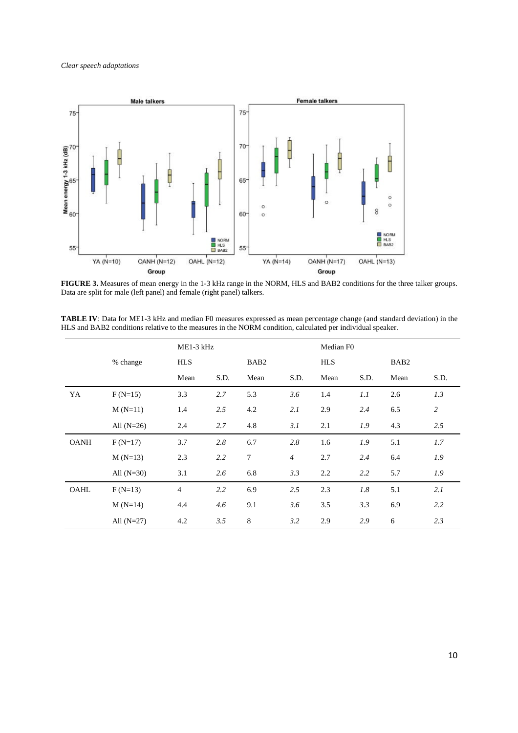

**FIGURE 3.** Measures of mean energy in the 1-3 kHz range in the NORM, HLS and BAB2 conditions for the three talker groups. Data are split for male (left panel) and female (right panel) talkers.

**TABLE IV***:* Data for ME1-3 kHz and median F0 measures expressed as mean percentage change (and standard deviation) in the HLS and BAB2 conditions relative to the measures in the NORM condition, calculated per individual speaker.

|             |              | ME1-3 kHz      |      |                  |                | Median F0  |      |                  |                |
|-------------|--------------|----------------|------|------------------|----------------|------------|------|------------------|----------------|
|             | % change     | <b>HLS</b>     |      | BAB <sub>2</sub> |                | <b>HLS</b> |      | BAB <sub>2</sub> |                |
|             |              | Mean           | S.D. | Mean             | S.D.           | Mean       | S.D. | Mean             | S.D.           |
| YA          | $F(N=15)$    | 3.3            | 2.7  | 5.3              | 3.6            | 1.4        | 1.1  | 2.6              | 1.3            |
|             | $M(N=11)$    | 1.4            | 2.5  | 4.2              | 2.1            | 2.9        | 2.4  | 6.5              | $\overline{c}$ |
|             | All $(N=26)$ | 2.4            | 2.7  | 4.8              | 3.1            | 2.1        | 1.9  | 4.3              | 2.5            |
| <b>OANH</b> | $F(N=17)$    | 3.7            | 2.8  | 6.7              | 2.8            | 1.6        | 1.9  | 5.1              | 1.7            |
|             | $M(N=13)$    | 2.3            | 2.2  | $\tau$           | $\overline{4}$ | 2.7        | 2.4  | 6.4              | 1.9            |
|             | All $(N=30)$ | 3.1            | 2.6  | 6.8              | 3.3            | 2.2        | 2.2  | 5.7              | 1.9            |
| OAHL        | $F(N=13)$    | $\overline{4}$ | 2.2  | 6.9              | 2.5            | 2.3        | 1.8  | 5.1              | 2.1            |
|             | $M(N=14)$    | 4.4            | 4.6  | 9.1              | 3.6            | 3.5        | 3.3  | 6.9              | 2.2            |
|             | All $(N=27)$ | 4.2            | 3.5  | $\,8\,$          | 3.2            | 2.9        | 2.9  | 6                | 2.3            |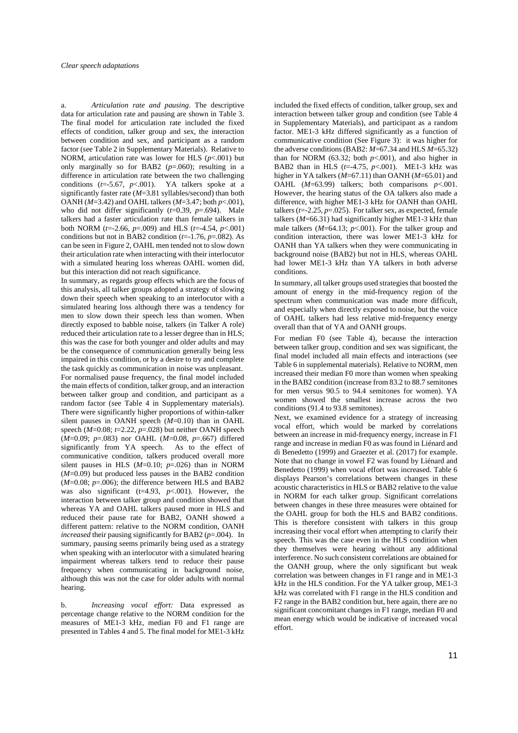a. *Articulation rate and pausing*. The descriptive data for articulation rate and pausing are shown in Table 3. The final model for articulation rate included the fixed effects of condition, talker group and sex, the interaction between condition and sex, and participant as a random factor (see Table 2 in Supplementary Materials). Relative to NORM, articulation rate was lower for HLS  $(p<.001)$  but only marginally so for BAB2  $(p=.060)$ ; resulting in a difference in articulation rate between the two challenging conditions  $(t=5.67, p<.001)$ . YA talkers spoke at a significantly faster rate (*M*=3.81 syllables/second) than both OANH (*M*=3.42) and OAHL talkers (*M*=3.47; both *p*<.001), who did not differ significantly (*t*=0.39, *p*=.694). Male talkers had a faster articulation rate than female talkers in both NORM (*t*=-2.66, *p*=.009) and HLS (*t*=-4.54, *p*<.001) conditions but not in BAB2 condition  $(t=1.76, p=.082)$ . As can be seen in Figure 2, OAHL men tended not to slow down their articulation rate when interacting with their interlocutor with a simulated hearing loss whereas OAHL women did, but this interaction did not reach significance.

In summary, as regards group effects which are the focus of this analysis, all talker groups adopted a strategy of slowing down their speech when speaking to an interlocutor with a simulated hearing loss although there was a tendency for men to slow down their speech less than women. When directly exposed to babble noise, talkers (in Talker A role) reduced their articulation rate to a lesser degree than in HLS; this was the case for both younger and older adults and may be the consequence of communication generally being less impaired in this condition, or by a desire to try and complete the task quickly as communication in noise was unpleasant. For normalised pause frequency, the final model included the main effects of condition, talker group, and an interaction between talker group and condition, and participant as a random factor (see Table 4 in Supplementary materials). There were significantly higher proportions of within-talker silent pauses in OANH speech (*M*=0.10) than in OAHL speech (*M*=0.08; *t*=2.22, *p*=.028) but neither OANH speech (*M*=0.09; *p*=.083) nor OAHL (*M*=0.08, *p*=.667) differed significantly from YA speech. As to the effect of communicative condition, talkers produced overall more silent pauses in HLS  $(M=0.10; p=.026)$  than in NORM (*M*=0.09) but produced less pauses in the BAB2 condition  $(M=0.08; p=.006)$ ; the difference between HLS and BAB2 was also significant ( $t=4.93$ ,  $p<0.001$ ). However, the interaction between talker group and condition showed that whereas YA and OAHL talkers paused more in HLS and reduced their pause rate for BAB2, OANH showed a different pattern: relative to the NORM condition, OANH *increased* their pausing significantly for BAB2 (*p*=.004). In summary, pausing seems primarily being used as a strategy when speaking with an interlocutor with a simulated hearing impairment whereas talkers tend to reduce their pause frequency when communicating in background noise, although this was not the case for older adults with normal hearing.

b. *Increasing vocal effort:* Data expressed as percentage change relative to the NORM condition for the measures of ME1-3 kHz, median F0 and F1 range are presented in Tables 4 and 5. The final model for ME1-3 kHz

included the fixed effects of condition, talker group, sex and interaction between talker group and condition (see Table 4 in Supplementary Materials), and participant as a random factor. ME1-3 kHz differed significantly as a function of communicative condition (See Figure 3): it was higher for the adverse conditions (BAB2:  $M=67.34$  and HLS  $M=65.32$ ) than for NORM  $(63.32;$  both  $p<001$ , and also higher in BAB2 than in HLS  $(t=4.75, p<.001)$ . ME1-3 kHz was higher in YA talkers (*M*=67.11) than OANH (*M*=65.01) and OAHL  $(M=63.99)$  talkers; both comparisons  $p<001$ . However, the hearing status of the OA talkers also made a difference, with higher ME1-3 kHz for OANH than OAHL talkers  $(t=2.25, p=.025)$ . For talker sex, as expected, female talkers (*M*=66.31) had significantly higher ME1-3 kHz than male talkers  $(M=64.13; p<.001)$ . For the talker group and condition interaction, there was lower ME1-3 kHz for OANH than YA talkers when they were communicating in background noise (BAB2) but not in HLS, whereas OAHL had lower ME1-3 kHz than YA talkers in both adverse conditions.

In summary, all talker groups used strategies that boosted the amount of energy in the mid-frequency region of the spectrum when communication was made more difficult, and especially when directly exposed to noise, but the voice of OAHL talkers had less relative mid-frequency energy overall than that of YA and OANH groups.

For median F0 (see Table 4), because the interaction between talker group, condition and sex was significant, the final model included all main effects and interactions (see Table 6 in supplemental materials). Relative to NORM, men increased their median F0 more than women when speaking in the BAB2 condition (increase from 83.2 to 88.7 semitones for men versus 90.5 to 94.4 semitones for women). YA women showed the smallest increase across the two conditions (91.4 to 93.8 semitones).

Next, we examined evidence for a strategy of increasing vocal effort, which would be marked by correlations between an increase in mid-frequency energy, increase in F1 range and increase in median F0 as was found in Liénard and di Benedetto (1999) and Graezter et al. (2017) for example. Note that no change in vowel F2 was found by Liénard and Benedetto (1999) when vocal effort was increased. Table 6 displays Pearson's correlations between changes in these acoustic characteristics in HLS or BAB2 relative to the value in NORM for each talker group. Significant correlations between changes in these three measures were obtained for the OAHL group for both the HLS and BAB2 conditions. This is therefore consistent with talkers in this group increasing their vocal effort when attempting to clarify their speech. This was the case even in the HLS condition when they themselves were hearing without any additional interference. No such consistent correlations are obtained for the OANH group, where the only significant but weak correlation was between changes in F1 range and in ME1-3 kHz in the HLS condition. For the YA talker group, ME1-3 kHz was correlated with F1 range in the HLS condition and F2 range in the BAB2 condition but, here again, there are no significant concomitant changes in F1 range, median F0 and mean energy which would be indicative of increased vocal effort.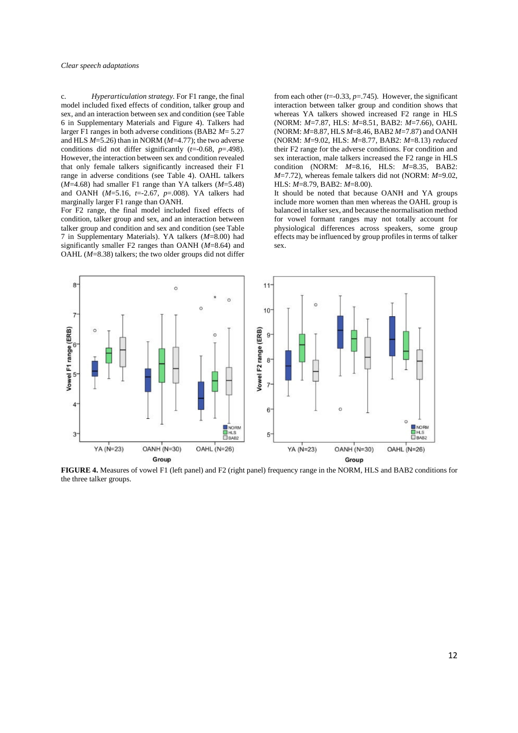c. *Hyperarticulation strategy.* For F1 range, the final model included fixed effects of condition, talker group and sex, and an interaction between sex and condition (see Table 6 in Supplementary Materials and Figure 4). Talkers had larger F1 ranges in both adverse conditions (BAB2 *M*= 5.27 and HLS *M*=5.26) than in NORM (*M*=4.77); the two adverse conditions did not differ significantly (*t*=-0.68, *p*=.498). However, the interaction between sex and condition revealed that only female talkers significantly increased their F1 range in adverse conditions (see Table 4). OAHL talkers (*M*=4.68) had smaller F1 range than YA talkers (*M*=5.48) and OANH (*M*=5.16, *t*=-2.67, *p*=.008). YA talkers had marginally larger F1 range than OANH.

For F2 range, the final model included fixed effects of condition, talker group and sex, and an interaction between talker group and condition and sex and condition (see Table 7 in Supplementary Materials). YA talkers (*M*=8.00) had significantly smaller F2 ranges than OANH (*M*=8.64) and OAHL (*M*=8.38) talkers; the two older groups did not differ

from each other  $(t=0.33, p=.745)$ . However, the significant interaction between talker group and condition shows that whereas YA talkers showed increased F2 range in HLS (NORM: *M*=7.87, HLS: *M*=8.51, BAB2: *M*=7.66), OAHL (NORM: *M*=8.87, HLS *M*=8.46, BAB2 *M*=7.87) and OANH (NORM: *M*=9.02, HLS: *M*=8.77, BAB2: *M*=8.13) *reduced* their F2 range for the adverse conditions. For condition and sex interaction, male talkers increased the F2 range in HLS condition (NORM: *M*=8.16, HLS: *M*=8.35, BAB2: *M*=7.72), whereas female talkers did not (NORM: *M*=9.02, HLS: *M*=8.79, BAB2: *M*=8.00).

It should be noted that because OANH and YA groups include more women than men whereas the OAHL group is balanced in talker sex, and because the normalisation method for vowel formant ranges may not totally account for physiological differences across speakers, some group effects may be influenced by group profiles in terms of talker sex.



**FIGURE 4.** Measures of vowel F1 (left panel) and F2 (right panel) frequency range in the NORM, HLS and BAB2 conditions for the three talker groups.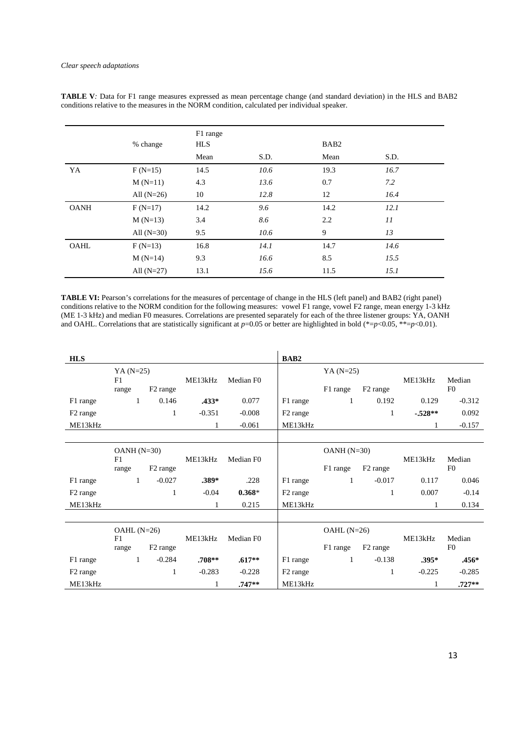|             | % change     | F1 range<br><b>HLS</b> |      | BAB <sub>2</sub> |      |
|-------------|--------------|------------------------|------|------------------|------|
|             |              | Mean                   | S.D. | Mean             | S.D. |
| YA          | $F(N=15)$    | 14.5                   | 10.6 | 19.3             | 16.7 |
|             | $M(N=11)$    | 4.3                    | 13.6 | 0.7              | 7.2  |
|             | All $(N=26)$ | 10                     | 12.8 | 12               | 16.4 |
| <b>OANH</b> | $F(N=17)$    | 14.2                   | 9.6  | 14.2             | 12.1 |
|             | $M(N=13)$    | 3.4                    | 8.6  | 2.2              | 11   |
|             | All $(N=30)$ | 9.5                    | 10.6 | 9                | 13   |
| OAHL        | $F(N=13)$    | 16.8                   | 14.1 | 14.7             | 14.6 |
|             | $M(N=14)$    | 9.3                    | 16.6 | 8.5              | 15.5 |
|             | All $(N=27)$ | 13.1                   | 15.6 | 11.5             | 15.1 |

**TABLE V***:* Data for F1 range measures expressed as mean percentage change (and standard deviation) in the HLS and BAB2 conditions relative to the measures in the NORM condition, calculated per individual speaker.

**TABLE VI:** Pearson's correlations for the measures of percentage of change in the HLS (left panel) and BAB2 (right panel) conditions relative to the NORM condition for the following measures: vowel F1 range, vowel F2 range, mean energy 1-3 kHz (ME 1-3 kHz) and median F0 measures. Correlations are presented separately for each of the three listener groups: YA, OANH and OAHL. Correlations that are statistically significant at  $p=0.05$  or better are highlighted in bold (\*= $p<0.05$ , \*\*= $p<0.01$ ).

| <b>HLS</b>           |                             |                      |          |                       | BAB <sub>2</sub>     |                          |                      |          |                          |
|----------------------|-----------------------------|----------------------|----------|-----------------------|----------------------|--------------------------|----------------------|----------|--------------------------|
|                      | $YA (N=25)$<br>F1<br>range  | F <sub>2</sub> range | ME13kHz  | Median F <sub>0</sub> |                      | $YA (N=25)$<br>F1 range  | F <sub>2</sub> range | ME13kHz  | Median<br>F <sub>0</sub> |
| F1 range             | $\mathbf{1}$                | 0.146                | $.433*$  | 0.077                 | F1 range             | 1                        | 0.192                | 0.129    | $-0.312$                 |
| F <sub>2</sub> range |                             | 1                    | $-0.351$ | $-0.008$              | F <sub>2</sub> range |                          | 1                    | $.528**$ | 0.092                    |
| ME13kHz              |                             |                      | 1        | $-0.061$              | ME13kHz              |                          |                      | 1        | $-0.157$                 |
|                      |                             |                      |          |                       |                      |                          |                      |          |                          |
|                      | $OANH(N=30)$<br>F1          |                      | ME13kHz  | Median F0             |                      | $OANH(N=30)$             |                      | ME13kHz  | Median                   |
|                      | range                       | F <sub>2</sub> range |          |                       |                      | F1 range                 | F <sub>2</sub> range |          | F <sub>0</sub>           |
| F1 range             | 1                           | $-0.027$             | $.389*$  | .228                  | F1 range             | $\mathbf{1}$             | $-0.017$             | 0.117    | 0.046                    |
| F <sub>2</sub> range |                             | 1                    | $-0.04$  | $0.368*$              | F <sub>2</sub> range |                          | 1                    | 0.007    | $-0.14$                  |
| ME13kHz              |                             |                      |          | 0.215                 | ME13kHz              |                          |                      | 1        | 0.134                    |
|                      |                             |                      |          |                       |                      |                          |                      |          |                          |
|                      | $OAHL(N=26)$<br>F1<br>range | F <sub>2</sub> range | ME13kHz  | Median F <sub>0</sub> |                      | $OAHL(N=26)$<br>F1 range | F <sub>2</sub> range | ME13kHz  | Median<br>F <sub>0</sub> |
| F1 range             | $\mathbf{1}$                | $-0.284$             | $.708**$ | $.617**$              | F1 range             | 1                        | $-0.138$             | $.395*$  | $.456*$                  |
| F <sub>2</sub> range |                             | 1                    | $-0.283$ | $-0.228$              | F <sub>2</sub> range |                          | 1                    | $-0.225$ | $-0.285$                 |
| ME13kHz              |                             |                      |          | $.747**$              | ME13kHz              |                          |                      |          | $.727**$                 |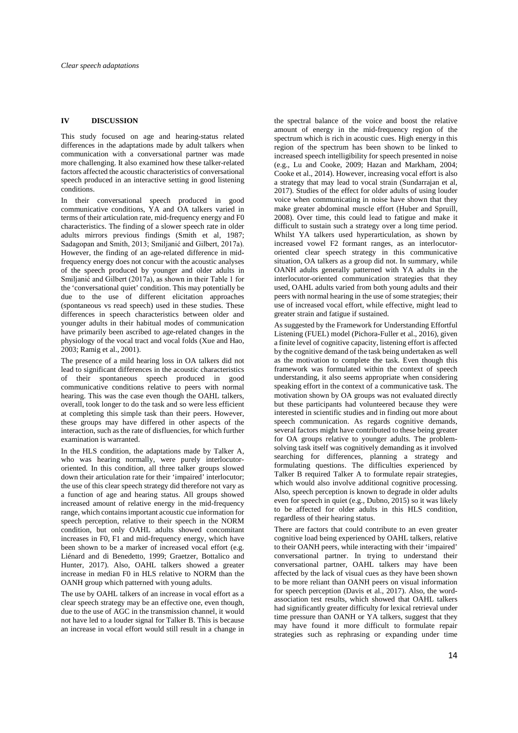# **IV DISCUSSION**

This study focused on age and hearing-status related differences in the adaptations made by adult talkers when communication with a conversational partner was made more challenging. It also examined how these talker-related factors affected the acoustic characteristics of conversational speech produced in an interactive setting in good listening conditions.

In their conversational speech produced in good communicative conditions, YA and OA talkers varied in terms of their articulation rate, mid-frequency energy and F0 characteristics. The finding of a slower speech rate in older adults mirrors previous findings (Smith et al, 1987; Sadagopan and Smith, 2013; Smiljanić and Gilbert, 2017a). However, the finding of an age-related difference in midfrequency energy does not concur with the acoustic analyses of the speech produced by younger and older adults in Smiljanić and Gilbert (2017a), as shown in their Table 1 for the 'conversational quiet' condition. This may potentially be due to the use of different elicitation approaches (spontaneous vs read speech) used in these studies. These differences in speech characteristics between older and younger adults in their habitual modes of communication have primarily been ascribed to age-related changes in the physiology of the vocal tract and vocal folds (Xue and Hao, 2003; Ramig et al., 2001).

The presence of a mild hearing loss in OA talkers did not lead to significant differences in the acoustic characteristics of their spontaneous speech produced in good communicative conditions relative to peers with normal hearing. This was the case even though the OAHL talkers, overall, took longer to do the task and so were less efficient at completing this simple task than their peers. However, these groups may have differed in other aspects of the interaction, such as the rate of disfluencies, for which further examination is warranted.

In the HLS condition, the adaptations made by Talker A, who was hearing normally, were purely interlocutororiented. In this condition, all three talker groups slowed down their articulation rate for their 'impaired' interlocutor; the use of this clear speech strategy did therefore not vary as a function of age and hearing status. All groups showed increased amount of relative energy in the mid-frequency range, which contains important acoustic cue information for speech perception, relative to their speech in the NORM condition, but only OAHL adults showed concomitant increases in F0, F1 and mid-frequency energy, which have been shown to be a marker of increased vocal effort (e.g. Liénard and di Benedetto, 1999; Graetzer, Bottalico and Hunter, 2017). Also, OAHL talkers showed a greater increase in median F0 in HLS relative to NORM than the OANH group which patterned with young adults.

The use by OAHL talkers of an increase in vocal effort as a clear speech strategy may be an effective one, even though, due to the use of AGC in the transmission channel, it would not have led to a louder signal for Talker B. This is because an increase in vocal effort would still result in a change in

the spectral balance of the voice and boost the relative amount of energy in the mid-frequency region of the spectrum which is rich in acoustic cues. High energy in this region of the spectrum has been shown to be linked to increased speech intelligibility for speech presented in noise (e.g., Lu and Cooke, 2009; Hazan and Markham, 2004; Cooke et al., 2014). However, increasing vocal effort is also a strategy that may lead to vocal strain (Sundarrajan et al, 2017). Studies of the effect for older adults of using louder voice when communicating in noise have shown that they make greater abdominal muscle effort (Huber and Spruill, 2008). Over time, this could lead to fatigue and make it difficult to sustain such a strategy over a long time period. Whilst YA talkers used hyperarticulation, as shown by increased vowel F2 formant ranges, as an interlocutororiented clear speech strategy in this communicative situation, OA talkers as a group did not. In summary, while OANH adults generally patterned with YA adults in the interlocutor-oriented communication strategies that they used, OAHL adults varied from both young adults and their peers with normal hearing in the use of some strategies; their use of increased vocal effort, while effective, might lead to greater strain and fatigue if sustained.

As suggested by the Framework for Understanding Effortful Listening (FUEL) model (Pichora-Fuller et al., 2016), given a finite level of cognitive capacity, listening effort is affected by the cognitive demand of the task being undertaken as well as the motivation to complete the task. Even though this framework was formulated within the context of speech understanding, it also seems appropriate when considering speaking effort in the context of a communicative task. The motivation shown by OA groups was not evaluated directly but these participants had volunteered because they were interested in scientific studies and in finding out more about speech communication. As regards cognitive demands, several factors might have contributed to these being greater for OA groups relative to younger adults. The problemsolving task itself was cognitively demanding as it involved searching for differences, planning a strategy and formulating questions. The difficulties experienced by Talker B required Talker A to formulate repair strategies, which would also involve additional cognitive processing. Also, speech perception is known to degrade in older adults even for speech in quiet (e.g., Dubno, 2015) so it was likely to be affected for older adults in this HLS condition, regardless of their hearing status.

There are factors that could contribute to an even greater cognitive load being experienced by OAHL talkers, relative to their OANH peers, while interacting with their 'impaired' conversational partner. In trying to understand their conversational partner, OAHL talkers may have been affected by the lack of visual cues as they have been shown to be more reliant than OANH peers on visual information for speech perception (Davis et al., 2017). Also, the wordassociation test results, which showed that OAHL talkers had significantly greater difficulty for lexical retrieval under time pressure than OANH or YA talkers, suggest that they may have found it more difficult to formulate repair strategies such as rephrasing or expanding under time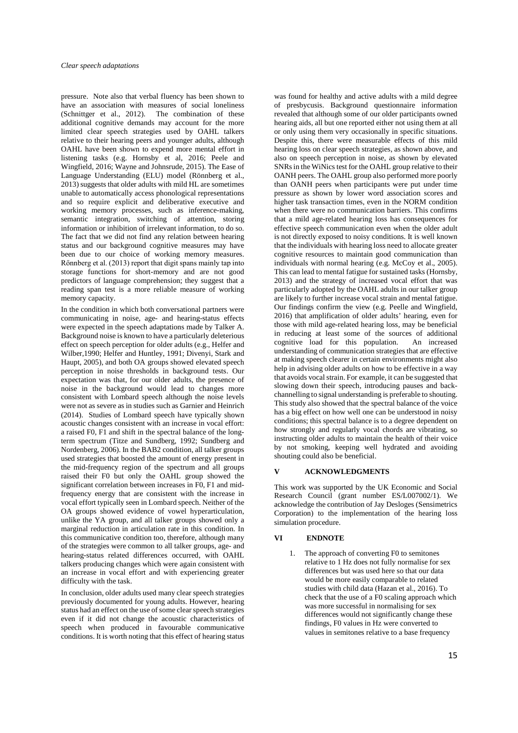pressure. Note also that verbal fluency has been shown to have an association with measures of social loneliness (Schnittger et al., 2012). The combination of these additional cognitive demands may account for the more limited clear speech strategies used by OAHL talkers relative to their hearing peers and younger adults, although OAHL have been shown to expend more mental effort in listening tasks (e.g. Hornsby et al, 2016; Peele and Wingfield, 2016; Wayne and Johnsrude, 2015). The Ease of Language Understanding (ELU) model (Rönnberg et al., 2013) suggests that older adults with mild HL are sometimes unable to automatically access phonological representations and so require explicit and deliberative executive and working memory processes, such as inference-making, semantic integration, switching of attention, storing information or inhibition of irrelevant information, to do so. The fact that we did not find any relation between hearing status and our background cognitive measures may have been due to our choice of working memory measures. Rőnnberg et al. (2013) report that digit spans mainly tap into storage functions for short-memory and are not good predictors of language comprehension; they suggest that a reading span test is a more reliable measure of working memory capacity.

In the condition in which both conversational partners were communicating in noise, age- and hearing-status effects were expected in the speech adaptations made by Talker A. Background noise is known to have a particularly deleterious effect on speech perception for older adults (e.g., Helfer and Wilber,1990; Helfer and Huntley, 1991; Divenyi, Stark and Haupt, 2005), and both OA groups showed elevated speech perception in noise thresholds in background tests. Our expectation was that, for our older adults, the presence of noise in the background would lead to changes more consistent with Lombard speech although the noise levels were not as severe as in studies such as Garnier and Heinrich (2014). Studies of Lombard speech have typically shown acoustic changes consistent with an increase in vocal effort: a raised F0, F1 and shift in the spectral balance of the longterm spectrum (Titze and Sundberg, 1992; Sundberg and Nordenberg, 2006). In the BAB2 condition, all talker groups used strategies that boosted the amount of energy present in the mid-frequency region of the spectrum and all groups raised their F0 but only the OAHL group showed the significant correlation between increases in F0, F1 and midfrequency energy that are consistent with the increase in vocal effort typically seen in Lombard speech. Neither of the OA groups showed evidence of vowel hyperarticulation, unlike the YA group, and all talker groups showed only a marginal reduction in articulation rate in this condition. In this communicative condition too, therefore, although many of the strategies were common to all talker groups, age- and hearing-status related differences occurred, with OAHL talkers producing changes which were again consistent with an increase in vocal effort and with experiencing greater difficulty with the task.

In conclusion, older adults used many clear speech strategies previously documented for young adults. However, hearing status had an effect on the use of some clear speech strategies even if it did not change the acoustic characteristics of speech when produced in favourable communicative conditions. It is worth noting that this effect of hearing status

was found for healthy and active adults with a mild degree of presbycusis. Background questionnaire information revealed that although some of our older participants owned hearing aids, all but one reported either not using them at all or only using them very occasionally in specific situations. Despite this, there were measurable effects of this mild hearing loss on clear speech strategies, as shown above, and also on speech perception in noise, as shown by elevated SNRs in the WiNics test for the OAHL group relative to their OANH peers. The OAHL group also performed more poorly than OANH peers when participants were put under time pressure as shown by lower word association scores and higher task transaction times, even in the NORM condition when there were no communication barriers. This confirms that a mild age-related hearing loss has consequences for effective speech communication even when the older adult is not directly exposed to noisy conditions. It is well known that the individuals with hearing loss need to allocate greater cognitive resources to maintain good communication than individuals with normal hearing (e.g. McCoy et al., 2005). This can lead to mental fatigue for sustained tasks (Hornsby, 2013) and the strategy of increased vocal effort that was particularly adopted by the OAHL adults in our talker group are likely to further increase vocal strain and mental fatigue. Our findings confirm the view (e.g. Peelle and Wingfield, 2016) that amplification of older adults' hearing, even for those with mild age-related hearing loss, may be beneficial in reducing at least some of the sources of additional cognitive load for this population. An increased understanding of communication strategies that are effective at making speech clearer in certain environments might also help in advising older adults on how to be effective in a way that avoids vocal strain. For example, it can be suggested that slowing down their speech, introducing pauses and backchannelling to signal understanding is preferable to shouting. This study also showed that the spectral balance of the voice has a big effect on how well one can be understood in noisy conditions; this spectral balance is to a degree dependent on how strongly and regularly vocal chords are vibrating, so instructing older adults to maintain the health of their voice by not smoking, keeping well hydrated and avoiding shouting could also be beneficial.

#### **V ACKNOWLEDGMENTS**

This work was supported by the UK Economic and Social Research Council (grant number ES/L007002/1). We acknowledge the contribution of Jay Desloges (Sensimetrics Corporation) to the implementation of the hearing loss simulation procedure.

#### **VI ENDNOTE**

1. The approach of converting F0 to semitones relative to 1 Hz does not fully normalise for sex differences but was used here so that our data would be more easily comparable to related studies with child data (Hazan et al., 2016). To check that the use of a F0 scaling approach which was more successful in normalising for sex differences would not significantly change these findings, F0 values in Hz were converted to values in semitones relative to a base frequency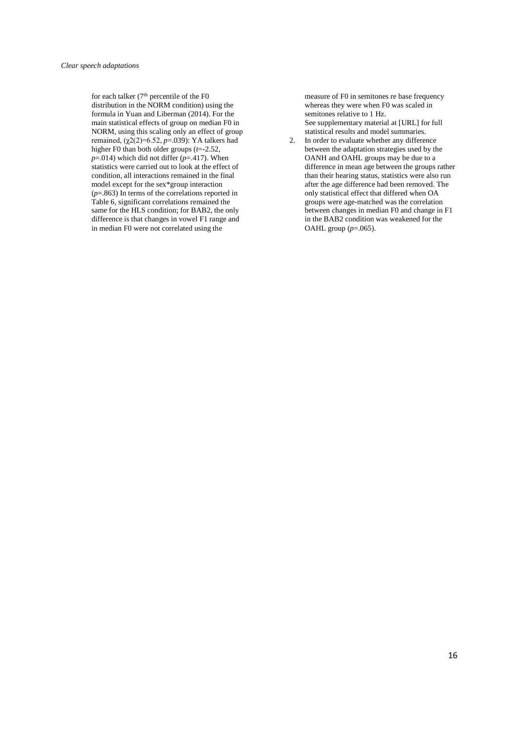for each talker (7<sup>th</sup> percentile of the F0 distribution in the NORM condition) using the formula in Yuan and Liberman (2014). For the main statistical effects of group on median F0 in NORM, using this scaling only an effect of group remained, (χ2(2)=6.52, *p*=.039): YA talkers had higher F0 than both older groups (*t*=-2.52,  $p=014$ ) which did not differ ( $p=417$ ). When statistics were carried out to look at the effect of condition, all interactions remained in the final model except for the sex\*group interaction (*p*=.863) In terms of the correlations reported in Table 6, significant correlations remained the same for the HLS condition; for BAB2, the only difference is that changes in vowel F1 range and in median F0 were not correlated using the

measure of F0 in semitones re base frequency whereas they were when F0 was scaled in semitones relative to 1 Hz. See supplementary material at [URL] for full statistical results and model summaries.

2. In order to evaluate whether any difference between the adaptation strategies used by the OANH and OAHL groups may be due to a difference in mean age between the groups rather than their hearing status, statistics were also run after the age difference had been removed. The only statistical effect that differed when OA groups were age-matched was the correlation between changes in median F0 and change in F1 in the BAB2 condition was weakened for the OAHL group (*p*=.065).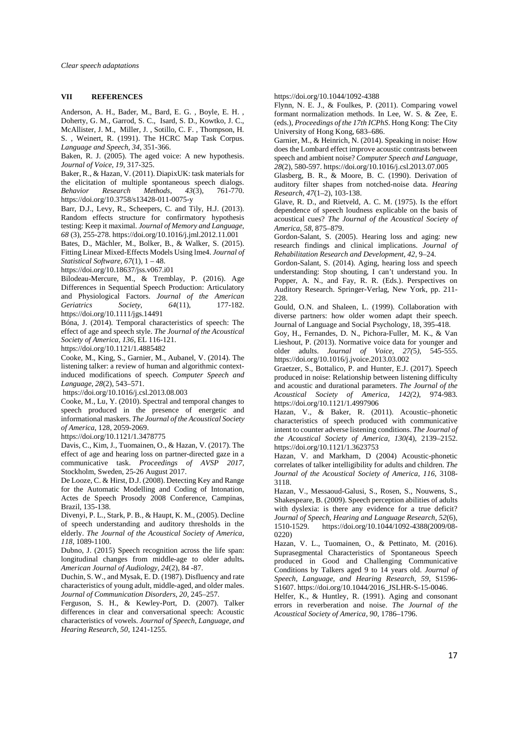## **VII REFERENCES**

Anderson, A. H., Bader, M., Bard, E. G. , Boyle, E. H. , Doherty, G. M., Garrod, S. C., Isard, S. D., Kowtko, J. C. McAllister, J. M., Miller, J. , Sotillo, C. F. , Thompson, H. S. , Weinert, R. (1991). The HCRC Map Task Corpus. *Language and Speech, 34*, 351-366.

Baken, R. J. (2005). The aged voice: A new hypothesis. *Journal of Voice*, *19*, 317-325.

Baker, R., & Hazan, V. (2011). DiapixUK: task materials for the elicitation of multiple spontaneous speech dialogs. *Behavior Research Methods*, *43*(3), 761-770. https://doi.org/10.3758/s13428-011-0075-y

Barr, D.J., Levy, R., Scheepers, C. and Tily, H.J. (2013). Random effects structure for confirmatory hypothesis testing: Keep it maximal*. Journal of Memory and Language*, *68* (3), 255-278. https://doi.org/10.1016/j.jml.2012.11.001

Bates, D., Mächler, M., Bolker, B., & Walker, S. (2015). Fitting Linear Mixed-Effects Models Using lme4. *Journal of Statistical Software, 67*(1), 1 – 48.

https://doi.org/10.18637/jss.v067.i01

Bilodeau-Mercure, M., & Tremblay, P. (2016). Age Differences in Sequential Speech Production: Articulatory and Physiological Factors. *Journal of the American Geriatrics Society, 64*(11), 177-182. https://doi.org/10.1111/jgs.14491

Bóna, J. (2014). Temporal characteristics of speech: The effect of age and speech style. *The Journal of the Acoustical Society of America, 136*, EL 116-121.

https://doi.org/10.1121/1.4885482

Cooke, M., King, S., Garnier, M., Aubanel, V. (2014). The listening talker: a review of human and algorithmic contextinduced modifications of speech. *Computer Speech and Language, 28*(2), 543–571.

https://doi.org/10.1016/j.csl.2013.08.003

Cooke, M., Lu, Y. (2010). Spectral and temporal changes to speech produced in the presence of energetic and informational maskers. *The Journal of the Acoustical Society of America*, 128, 2059-2069.

https://doi.org/10.1121/1.3478775

Davis, C., Kim, J., Tuomainen, O., & Hazan, V. (2017). The effect of age and hearing loss on partner-directed gaze in a communicative task. *Proceedings of AVSP 2017*, Stockholm, Sweden, 25-26 August 2017.

De Looze, C. & Hirst, D.J. (2008). Detecting Key and Range for the Automatic Modelling and Coding of Intonation, Actes de Speech Prosody 2008 Conference, Campinas, Brazil, 135-138.

Divenyi, P. L., Stark, P. B., & Haupt, K. M., (2005). Decline of speech understanding and auditory thresholds in the elderly. *The Journal of the Acoustical Society of America, 118*, 1089-1100.

Dubno, J. (2015) Speech recognition across the life span: longitudinal changes from middle-age to older adults**.** *American Journal of Audiology, 24*(2), 84 -87.

Duchin, S. W., and Mysak, E. D. (1987). Disfluency and rate characteristics of young adult, middle-aged, and older males. *Journal of Communication Disorders, 20*, 245–257.

Ferguson, S. H., & Kewley-Port, D. (2007). Talker differences in clear and conversational speech: Acoustic characteristics of vowels. *Journal of Speech, Language, and Hearing Research, 50*, 1241-1255.

https://doi.org/10.1044/1092-4388

Flynn, N. E. J., & Foulkes, P. (2011). Comparing vowel formant normalization methods. In Lee, W. S. & Zee, E. (eds.), *Proceedings of the 17th ICPhS*. Hong Kong: The City University of Hong Kong, 683–686.

Garnier, M., & Heinrich, N. (2014). Speaking in noise: How does the Lombard effect improve acoustic contrasts between speech and ambient noise? *Computer Speech and Language, 28*(2), 580-597. https://doi.org/10.1016/j.csl.2013.07.005

Glasberg, B. R., & Moore, B. C. (1990). Derivation of auditory filter shapes from notched-noise data. *Hearing Research, 47*(1–2), 103-138.

Glave, R. D., and Rietveld, A. C. M. (1975). Is the effort dependence of speech loudness explicable on the basis of acoustical cues? *The Journal of the Acoustical Society of America*, *58*, 875–879.

Gordon-Salant, S. (2005). Hearing loss and aging: new research findings and clinical implications. *Journal of Rehabilitation Research and Development, 42*, 9–24.

Gordon-Salant, S. (2014). Aging, hearing loss and speech understanding: Stop shouting, I can't understand you. In Popper, A. N., and Fay, R. R. (Eds.). Perspectives on Auditory Research. Springer-Verlag, New York, pp. 211- 228.

Gould, O.N. and Shaleen, L. (1999). Collaboration with diverse partners: how older women adapt their speech. Journal of Language and Social Psychology, 18, 395-418.

Goy, H., Fernandes, D. N., Pichora-Fuller, M. K., & Van Lieshout, P. (2013). Normative voice data for younger and older adults. *Journal of Voice, 27(*5*)*, 545-555. https://doi.org/10.1016/j.jvoice.2013.03.002

Graetzer, S., Bottalico, P. and Hunter, E.J. (2017). Speech produced in noise: Relationship between listening difficulty and acoustic and durational parameters. *The Journal of the Acoustical Society of America, 142(*2*)*, 974-983. https://doi.org/10.1121/1.4997906

Hazan, V., & Baker, R. (2011). Acoustic–phonetic characteristics of speech produced with communicative intent to counter adverse listening conditions. *The Journal of the Acoustical Society of America, 130(*4), 2139–2152. https://doi.org/10.1121/1.3623753

Hazan, V. and Markham, D (2004) Acoustic-phonetic correlates of talker intelligibility for adults and children. *The Journal of the Acoustical Society of America, 116*, 3108- 3118.

Hazan, V., Messaoud-Galusi, S., Rosen, S., Nouwens, S., Shakespeare, B. (2009). Speech perception abilities of adults with dyslexia: is there any evidence for a true deficit? *Journal of Speech, Hearing and Language Research, 52*(6), 1510-1529. https://doi.org/10.1044/1092-4388(2009/08- 0220)

Hazan, V. L., Tuomainen, O., & Pettinato, M. (2016). Suprasegmental Characteristics of Spontaneous Speech produced in Good and Challenging Communicative Conditions by Talkers aged 9 to 14 years old. *Journal of Speech, Language, and Hearing Research, 59*, S1596- S1607. https://doi.org/10.1044/2016\_JSLHR-S-15-0046.

Helfer, K., & Huntley, R. (1991). Aging and consonant errors in reverberation and noise. *The Journal of the Acoustical Society of America, 90*, 1786–1796.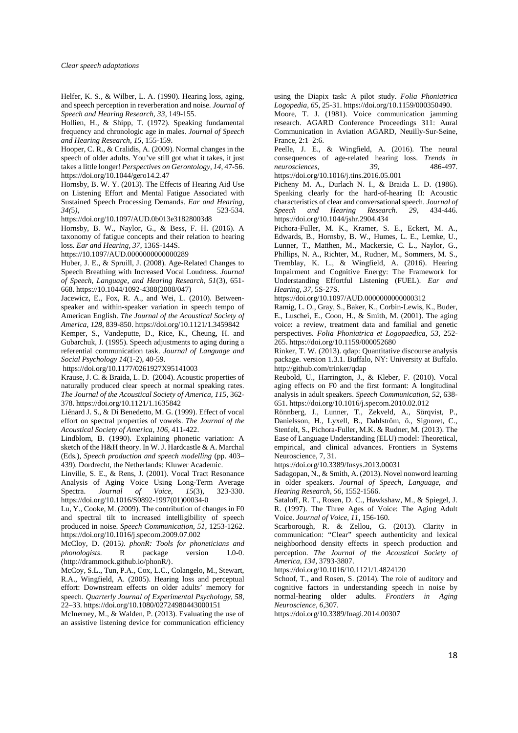Helfer, K. S., & Wilber, L. A. (1990). Hearing loss, aging, and speech perception in reverberation and noise. *Journal of Speech and Hearing Research, 33*, 149-155.

Hollien, H., & Shipp, T. (1972). Speaking fundamental frequency and chronologic age in males. *Journal of Speech and Hearing Research, 15*, 155-159.

Hooper, C. R., & Cralidis, A. (2009). Normal changes in the speech of older adults. You've still got what it takes, it just takes a little longer! *Perspectives on Gerontology, 14*, 47-56. https://doi.org/10.1044/gero14.2.47

Hornsby, B. W. Y. (2013). The Effects of Hearing Aid Use on Listening Effort and Mental Fatigue Associated with Sustained Speech Processing Demands. *Ear and Hearing, 34(*5*),* 523-534.

https://doi.org/10.1097/AUD.0b013e31828003d8

Hornsby, B. W., Naylor, G., & Bess, F. H. (2016). A taxonomy of fatigue concepts and their relation to hearing loss. *Ear and Hearing, 37*, 136S-144S.

https://10.1097/AUD.0000000000000289

Huber, J. E., & Spruill, J. (2008). Age-Related Changes to Speech Breathing with Increased Vocal Loudness. *Journal of Speech, Language, and Hearing Research, 51*(3), 651- 668. https://10.1044/1092-4388(2008/047)

Jacewicz, E., Fox, R. A., and Wei, L. (2010). Betweenspeaker and within-speaker variation in speech tempo of American English. *The Journal of the Acoustical Society of America, 128*, 839-850. https://doi.org/10.1121/1.3459842

Kemper, S., Vandeputte, D., Rice, K., Cheung, H. and Gubarchuk, J. (1995). Speech adjustments to aging during a referential communication task. *Journal of Language and Social Psychology 14*(1-2), 40-59.

https://doi.org/10.1177/0261927X95141003

Krause, J. C. & Braida, L. D. (2004). Acoustic properties of naturally produced clear speech at normal speaking rates. *The Journal of the Acoustical Society of America, 115*, 362- 378. https://doi.org/10.1121/1.1635842

Liénard J. S., & Di Benedetto, M. G. (1999). Effect of vocal effort on spectral properties of vowels. *The Journal of the Acoustical Society of America, 106,* 411-422.

Lindblom, B. (1990). Explaining phonetic variation: A sketch of the H&H theory. In W. J. Hardcastle & A. Marchal (Eds.), *Speech production and speech modelling* (pp. 403– 439). Dordrecht, the Netherlands: Kluwer Academic.

Linville, S. E., & Rens, J. (2001). Vocal Tract Resonance Analysis of Aging Voice Using Long-Term Average Spectra. *Journal of Voice, 15*(3), 323-330. https://doi.org/10.1016/S0892-1997(01)00034-0

Lu, Y., Cooke, M. (2009). The contribution of changes in F0 and spectral tilt to increased intelligibility of speech produced in noise. *Speech Communication, 51*, 1253-1262. https://doi.org/10.1016/j.specom.2009.07.002

McCloy, D. (2015*). phonR: Tools for phoneticians and phonologists*. R package version 1.0-0. 〈http://drammock.github.io/phonR/〉.

McCoy, S.L., Tun, P.A., Cox, L.C., Colangelo, M., Stewart, R.A., Wingfield, A. (2005). Hearing loss and perceptual effort: Downstream effects on older adults' memory for speech. *Quarterly Journal of Experimental Psychology, 58*, 22–33. https://doi.org/10.1080/02724980443000151

McInerney, M., & Walden, P. (2013). Evaluating the use of an assistive listening device for communication efficiency

using the Diapix task: A pilot study. *Folia Phoniatrica Logopedia, 65*, 25-31. https://doi.org/10.1159/000350490.

Moore, T. J. (1981). Voice communication jamming research. AGARD Conference Proceedings 311: Aural Communication in Aviation AGARD, Neuilly-Sur-Seine, France, 2:1–2:6.

Peelle, J. E., & Wingfield, A. (2016). The neural consequences of age-related hearing loss. *Trends in*  $rac{1}{2}$ *neurosciences*,

https://doi.org/10.1016/j.tins.2016.05.001

Picheny M. A., Durlach N. I., & Braida L. D. (1986). Speaking clearly for the hard-of-hearing II: Acoustic characteristics of clear and conversational speech. *Journal of Speech and Hearing Research. 29*, 434-446. https://doi.org/10.1044/jshr.2904.434

Pichora-Fuller, M. K., Kramer, S. E., Eckert, M. A., Edwards, B., Hornsby, B. W., Humes, L. E., Lemke, U., Lunner, T., Matthen, M., Mackersie, C. L., Naylor, G., Phillips, N. A., Richter, M., Rudner, M., Sommers, M. S., Tremblay, K. L., & Wingfield, A. (2016). Hearing Impairment and Cognitive Energy: The Framework for Understanding Effortful Listening (FUEL). *Ear and Hearing, 37*, 5S-27S.

https://doi.org/10.1097/AUD.0000000000000312

Ramig, L. O., Gray, S., Baker, K., Corbin-Lewis, K., Buder, E., Luschei, E., Coon, H., & Smith, M. (2001). The aging voice: a review, treatment data and familial and genetic perspectives. *Folia Phoniatrica et Logopaedica, 53*, 252- 265. https://doi.org/10.1159/000052680

Rinker, T. W. (2013). qdap: Quantitative discourse analysis package. version 1.3.1. Buffalo, NY: University at Buffalo. http://github.com/trinker/qdap

Reubold, U., Harrington, J., & Kleber, F. (2010). Vocal aging effects on F0 and the first formant: A longitudinal analysis in adult speakers. *Speech Communication, 52*, 638- 651. https://doi.org/10.1016/j.specom.2010.02.012

Rönnberg, J., Lunner, T., Zekveld, A., Sörqvist, P., Danielsson, H., Lyxell, B., Dahlström, ö., Signoret, C., Stenfelt, S., Pichora-Fuller, M.K. & Rudner, M. (2013). The Ease of Language Understanding (ELU) model: Theoretical, empirical, and clinical advances. Frontiers in Systems Neuroscience, 7, 31.

https://doi.org/10.3389/fnsys.2013.00031

Sadagopan, N., & Smith, A. (2013). Novel nonword learning in older speakers. *Journal of Speech, Language, and Hearing Research, 56*, 1552-1566.

Sataloff, R. T., Rosen, D. C., Hawkshaw, M., & Spiegel, J. R. (1997). The Three Ages of Voice: The Aging Adult Voice. *Journal of Voice, 11*, 156-160.

Scarborough, R. & Zellou, G. (2013). Clarity in communication: "Clear" speech authenticity and lexical neighborhood density effects in speech production and perception. *The Journal of the Acoustical Society of America, 134*, 3793-3807.

https://doi.org/10.1016/10.1121/1.4824120

Schoof, T., and Rosen, S. (2014). The role of auditory and cognitive factors in understanding speech in noise by normal-hearing older adults. *Frontiers in Aging Neuroscience, 6*,307.

https://doi.org/10.3389/fnagi.2014.00307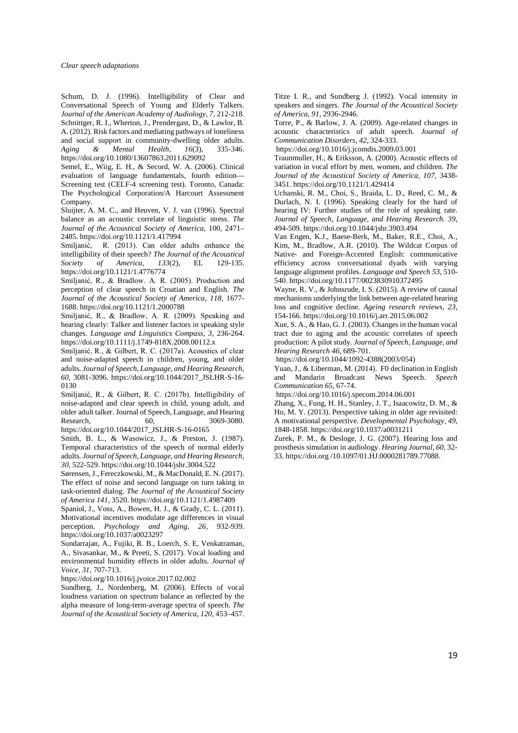Schum, D. J. (1996). Intelligibility of Clear and Conversational Speech of Young and Elderly Talkers. *Journal of the American Academy of Audiology, 7*, 212-218. Schnittger, R. I., Wherton, J., Prendergast, D., & Lawlor, B. A. (2012). Risk factors and mediating pathways of loneliness and social support in community-dwelling older adults.<br>Aging & Mental Health, 16(3), 335-346. *Aging & Mental Health, 16*(3), 335-346. https://doi.org/10.1080/13607863.2011.629092

Semel, E., Wiig, E. H., & Secord, W. A. (2006). Clinical evaluation of language fundamentals, fourth edition— Screening test (CELF-4 screening test). Toronto, Canada: The Psychological Corporation/A Harcourt Assessment Company.

Sluijter, A. M. C., and Heuven, V. J. van (1996). Spectral balance as an acoustic correlate of linguistic stress. *The Journal of the Acoustical Society of America,* 100, 2471– 2485. https://doi.org/10.1121/1.417994

Smiljanić, R. (2013). Can older adults enhance the intelligibility of their speech? *The Journal of the Acoustical Society of America, 133*(2), EL 129-135. https://doi.org/10.1121/1.4776774

Smiljanić, R., & Bradlow. A. R. (2005). Production and perception of clear speech in Croatian and English. *The Journal of the Acoustical Society of America, 118,* 1677- 1688. https://doi.org/10.1121/1.2000788

Smiljanić, R., & Bradlow, A. R. (2009). Speaking and hearing clearly: Talker and listener factors in speaking style changes. *Language and Linguistics Compass, 3*, 236-264. https://doi.org/10.1111/j.1749-818X.2008.00112.x

Smiljanić, R., & Gilbert, R. C. (2017a). Acoustics of clear and noise-adapted speech in children, young, and older adults. *Journal of Speech, Language, and Hearing Research, 60*, 3081-3096. https://doi.org/10.1044/2017\_JSLHR-S-16- 0130

Smiljanić, R., & Gilbert, R. C. (2017b). Intelligibility of noise-adapted and clear speech in child, young adult, and older adult talker. Journal of Speech, Language, and Hearing Research, 60, 3069-3080. https://doi.org/10.1044/2017\_JSLHR-S-16-0165

Smith, B. L., & Wasowicz, J., & Preston, J. (1987). Temporal characteristics of the speech of normal elderly adults. *Journal of Speech, Language, and Hearing Research, 30,* 522-529. https://doi.org/10.1044/jshr.3004.522

Sørensen, J., Fereczkowski, M., & MacDonald, E. N. (2017). The effect of noise and second language on turn taking in task-oriented dialog. *The Journal of the Acoustical Society of America 141*, 3520. https://doi.org/10.1121/1.4987409

Spaniol, J., Voss, A., Bowen, H. J., & Grady, C. L. (2011). Motivational incentives modulate age differences in visual perception. *Psychology and Aging, 26,* 932-939. https://doi.org/10.1037/a0023297

Sundarrajan, A., Fujiki, R. B., Loerch, S. E, Venkatraman, A., Sivasankar, M., & Preeti, S. (2017). Vocal loading and environmental humidity effects in older adults. *Journal of Voice, 31*, 707-713.

https://doi.org/10.1016/j.jvoice.2017.02.002

Sundberg, J., Nordenberg, M. (2006). Effects of vocal loudness variation on spectrum balance as reflected by the alpha measure of long-term-average spectra of speech. *The Journal of the Acoustical Society of America, 120*, 453–457.

Titze I. R., and Sundberg J. (1992). Vocal intensity in speakers and singers. *The Journal of the Acoustical Society of America, 91*, 2936-2946.

Torre, P., & Barlow, J. A. (2009). Age-related changes in acoustic characteristics of adult speech. *Journal of Communication Disorders, 42*, 324-333.

https://doi.org/10.1016/j.jcomdis.2009.03.001

Traunmuller, H., & Eriksson, A. (2000). Acoustic effects of variation in vocal effort by men, women, and children. *The Journal of the Acoustical Society of America, 107,* 3438- 3451. https://doi.org/10.1121/1.429414

Uchanski, R. M., Choi, S., Braida, L. D., Reed, C. M., & Durlach, N. I. (1996). Speaking clearly for the hard of hearing IV: Further studies of the role of speaking rate. *Journal of Speech, Language, and Hearing Research. 39*, 494-509. https://doi.org/10.1044/jshr.3903.494

Van Engen, K.J., Baese-Berk, M., Baker, R.E., Choi, A., Kim, M., Bradlow, A.R. (2010). The Wildcat Corpus of Native- and Foreign-Accented English: communicative efficiency across conversational dyads with varying language alignment profiles. *Language and Speech 53*, 510- 540. https://doi.org/10.1177/0023830910372495

Wayne, R. V., & Johnsrude, I. S. (2015). A review of causal mechanisms underlying the link between age-related hearing loss and cognitive decline. *Ageing research reviews, 23,* 154-166. https://doi.org/10.1016/j.arr.2015.06.002

Xue, S. A., & Hao, G. J. (2003). Changes in the human vocal tract due to aging and the acoustic correlates of speech production: A pilot study. *Journal of Speech, Language, and Hearing Research 46*, 689-701.

https://doi.org/10.1044/1092-4388(2003/054)

Yuan, J., & Liberman, M. (2014). F0 declination in English and Mandarin Broadcast News Speech. *Speech Communication 65*, 67-74.

https://doi.org/10.1016/j.specom.2014.06.001

Zhang, X., Fung, H. H., Stanley, J. T., Isaacowitz, D. M., & Ho, M. Y. (2013). Perspective taking in older age revisited: A motivational perspective. *Developmental Psychology, 49*, 1848-1858. https://doi.org/10.1037/a0031211

Zurek, P. M., & Desloge, J. G. (2007). Hearing loss and prosthesis simulation in audiology. *Hearing Journal, 60*, 32- 33. https://doi.org /10.1097/01.HJ.0000281789.77088.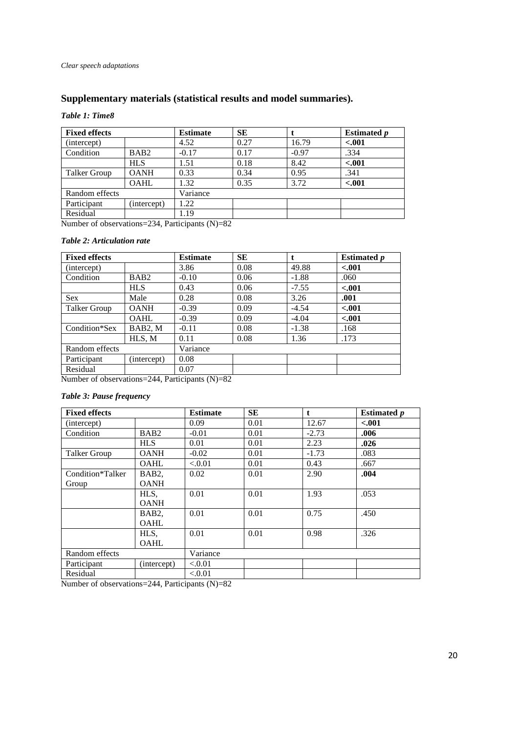# **Supplementary materials (statistical results and model summaries).**

# *Table 1: Time8*

| <b>Fixed effects</b> |                  | <b>Estimate</b> | <b>SE</b> |         | <b>Estimated p</b> |
|----------------------|------------------|-----------------|-----------|---------|--------------------|
| (intercept)          |                  | 4.52            | 0.27      | 16.79   | $-.001$            |
| Condition            | BAB <sub>2</sub> | $-0.17$         | 0.17      | $-0.97$ | .334               |
|                      | <b>HLS</b>       | 1.51            | 0.18      | 8.42    | $-.001$            |
| Talker Group         | <b>OANH</b>      | 0.33            | 0.34      | 0.95    | .341               |
|                      | <b>OAHL</b>      | 1.32            | 0.35      | 3.72    | $-.001$            |
| Random effects       |                  | Variance        |           |         |                    |
| Participant          | (intercept)      | .22             |           |         |                    |
| Residual             |                  | 1.19            |           |         |                    |

Number of observations=234, Participants (N)=82

# *Table 2: Articulation rate*

| <b>Fixed effects</b> |                  | <b>Estimate</b> | <b>SE</b> |         | <b>Estimated p</b> |
|----------------------|------------------|-----------------|-----------|---------|--------------------|
| (intercept)          |                  | 3.86            | 0.08      | 49.88   | $-.001$            |
| Condition            | BAB <sub>2</sub> | $-0.10$         | 0.06      | $-1.88$ | .060               |
|                      | <b>HLS</b>       | 0.43            | 0.06      | $-7.55$ | $-.001$            |
| <b>Sex</b>           | Male             | 0.28            | 0.08      | 3.26    | .001               |
| Talker Group         | <b>OANH</b>      | $-0.39$         | 0.09      | $-4.54$ | $-.001$            |
|                      | <b>OAHL</b>      | $-0.39$         | 0.09      | $-4.04$ | $-.001$            |
| Condition*Sex        | BAB2, M          | $-0.11$         | 0.08      | $-1.38$ | .168               |
|                      | HLS, M           | 0.11            | 0.08      | 1.36    | .173               |
| Random effects       |                  | Variance        |           |         |                    |
| Participant          | (intercept)      | 0.08            |           |         |                    |
| Residual             |                  | 0.07            |           |         |                    |

Number of observations=244, Participants (N)=82

# *Table 3: Pause frequency*

| <b>Fixed effects</b> |                    | <b>Estimate</b> | <b>SE</b> | t       | <b>Estimated</b> <i>p</i> |
|----------------------|--------------------|-----------------|-----------|---------|---------------------------|
| (intercept)          |                    | 0.09            | 0.01      | 12.67   | $-.001$                   |
| Condition            | BAB <sub>2</sub>   | $-0.01$         | 0.01      | $-2.73$ | .006                      |
|                      | <b>HLS</b>         | 0.01            | 0.01      | 2.23    | .026                      |
| Talker Group         | <b>OANH</b>        | $-0.02$         | 0.01      | $-1.73$ | .083                      |
|                      | <b>OAHL</b>        | ${<}0.01$       | 0.01      | 0.43    | .667                      |
| Condition*Talker     | BAB2,              | 0.02            | 0.01      | 2.90    | .004                      |
| Group                | <b>OANH</b>        |                 |           |         |                           |
|                      | HLS,               | 0.01            | 0.01      | 1.93    | .053                      |
|                      | <b>OANH</b>        |                 |           |         |                           |
|                      | BAB <sub>2</sub> , | 0.01            | 0.01      | 0.75    | .450                      |
|                      | <b>OAHL</b>        |                 |           |         |                           |
|                      | HLS,               | 0.01            | 0.01      | 0.98    | .326                      |
|                      | <b>OAHL</b>        |                 |           |         |                           |
| Random effects       |                    | Variance        |           |         |                           |
| Participant          | (intercept)        | < 0.01          |           |         |                           |
| Residual             |                    | ${<}0.01$       |           |         |                           |

Number of observations=244, Participants (N)=82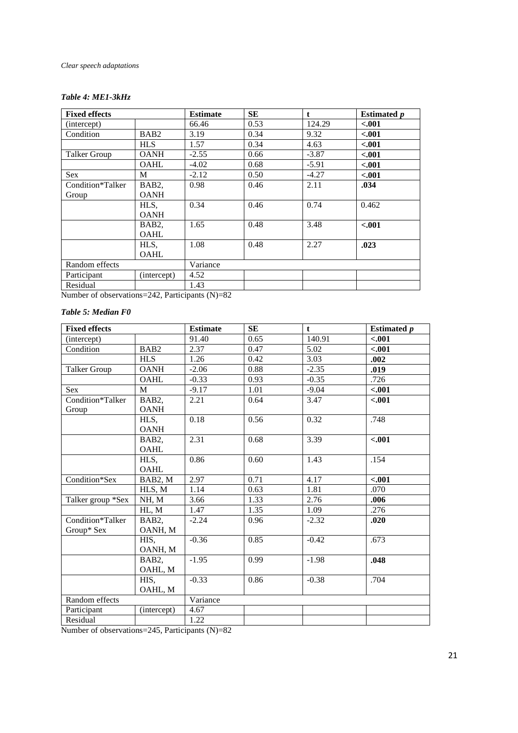# *Clear speech adaptations*

# *Table 4: ME1-3kHz*

| <b>Fixed effects</b> |                  | <b>Estimate</b> | <b>SE</b> | $\mathbf{t}$ | <b>Estimated p</b> |
|----------------------|------------------|-----------------|-----------|--------------|--------------------|
| (intercept)          |                  | 66.46           | 0.53      | 124.29       | $-.001$            |
| Condition            | BAB <sub>2</sub> | 3.19            | 0.34      | 9.32         | $-.001$            |
|                      | <b>HLS</b>       | 1.57            | 0.34      | 4.63         | < .001             |
| Talker Group         | <b>OANH</b>      | $-2.55$         | 0.66      | $-3.87$      | < .001             |
|                      | OAHL             | $-4.02$         | 0.68      | $-5.91$      | < .001             |
| <b>Sex</b>           | M                | $-2.12$         | 0.50      | $-4.27$      | $-.001$            |
| Condition*Talker     | BAB2,            | 0.98            | 0.46      | 2.11         | .034               |
| Group                | <b>OANH</b>      |                 |           |              |                    |
|                      | HLS,             | 0.34            | 0.46      | 0.74         | 0.462              |
|                      | <b>OANH</b>      |                 |           |              |                    |
|                      | BAB2,            | 1.65            | 0.48      | 3.48         | $-.001$            |
|                      | <b>OAHL</b>      |                 |           |              |                    |
|                      | HLS,             | 1.08            | 0.48      | 2.27         | .023               |
|                      | <b>OAHL</b>      |                 |           |              |                    |
| Random effects       |                  | Variance        |           |              |                    |
| Participant          | (intercept)      | 4.52            |           |              |                    |
| Residual             |                  | 1.43            |           |              |                    |

Number of observations=242, Participants (N)=82

# *Table 5: Median F0*

| <b>Fixed effects</b>                       |                  | <b>Estimate</b>              | <b>SE</b> | $\mathbf t$ | <b>Estimated</b> <i>p</i> |
|--------------------------------------------|------------------|------------------------------|-----------|-------------|---------------------------|
| (intercept)                                |                  | 91.40                        | 0.65      | 140.91      | $-.001$                   |
| Condition                                  | BAB <sub>2</sub> | 2.37                         | 0.47      | 5.02        | $-.001$                   |
|                                            | <b>HLS</b>       | 1.26                         | 0.42      | 3.03        | .002                      |
| <b>Talker Group</b>                        | <b>OANH</b>      | $-2.06$                      | 0.88      | $-2.35$     | .019                      |
|                                            | <b>OAHL</b>      | $-0.33$                      | 0.93      | $-0.35$     | .726                      |
| <b>Sex</b>                                 | M                | $-9.17$                      | 1.01      | $-9.04$     | $-.001$                   |
| Condition*Talker                           | BAB2,            | 2.21                         | 0.64      | 3.47        | $-.001$                   |
| Group                                      | <b>OANH</b>      |                              |           |             |                           |
|                                            | HLS,             | 0.18                         | 0.56      | 0.32        | .748                      |
|                                            | <b>OANH</b>      |                              |           |             |                           |
|                                            | BAB <sub>2</sub> | 2.31                         | 0.68      | 3.39        | $-.001$                   |
|                                            | OAHL             |                              |           |             |                           |
|                                            | HLS,             | 0.86                         | 0.60      | 1.43        | .154                      |
|                                            | OAHL             |                              |           |             |                           |
| Condition*Sex                              | BAB2, M          | 2.97                         | 0.71      | 4.17        | $-.001$                   |
|                                            | HLS, M           | 1.14                         | 0.63      | 1.81        | .070                      |
| Talker group *Sex                          | NH, M            | 3.66                         | 1.33      | 2.76        | .006                      |
|                                            | HL, M            | 1.47                         | 1.35      | 1.09        | .276                      |
| Condition*Talker                           | BAB2,            | $-2.24$                      | 0.96      | $-2.32$     | .020                      |
| Group* Sex                                 | OANH, M          |                              |           |             |                           |
|                                            | HIS.             | $-0.36$                      | 0.85      | $-0.42$     | .673                      |
|                                            | OANH, M          |                              |           |             |                           |
|                                            | BAB2,            | $-1.95$                      | 0.99      | $-1.98$     | .048                      |
|                                            | OAHL, M          |                              |           |             |                           |
|                                            | HIS.             | $-0.33$                      | 0.86      | $-0.38$     | .704                      |
|                                            | OAHL, M          |                              |           |             |                           |
| Random effects                             |                  | Variance                     |           |             |                           |
| Participant                                | (intercept)      | 4.67                         |           |             |                           |
| Residual<br>$\sim$ $\sim$<br>$\sim$ $\sim$ | $\frac{1}{2}$    | 1.22<br>$\sim$ $\sim$ $\sim$ |           |             |                           |

Number of observations=245, Participants (N)=82